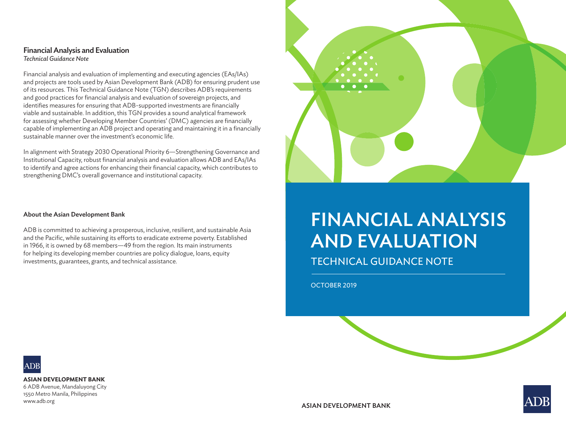

# FINANCIAL ANALYSIS AND EVALUATION

TECHNICAL GUIDANCE NOTE

OCTOBER 2019



**ASIAN DEVELOPMENT BANK**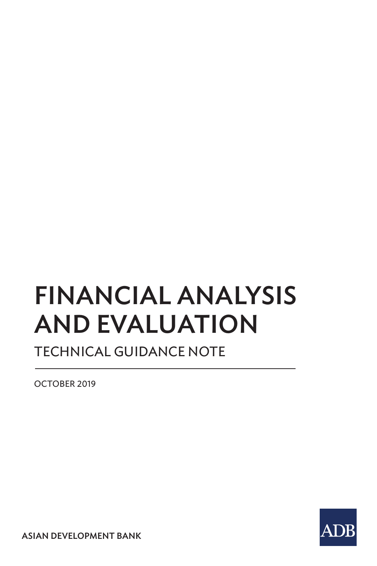# FINANCIAL ANALYSIS AND EVALUATION

TECHNICAL GUIDANCE NOTE

OCTOBER 2019

ASIAN DEVELOPMENT BANK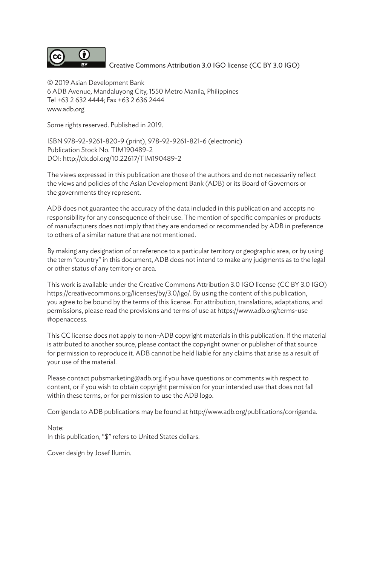

Creative Commons Attribution 3.0 IGO license (CC BY 3.0 IGO)

© 2019 Asian Development Bank 6 ADB Avenue, Mandaluyong City, 1550 Metro Manila, Philippines Tel +63 2 632 4444; Fax +63 2 636 2444 www.adb.org

Some rights reserved. Published in 2019.

ISBN 978-92-9261-820-9 (print), 978-92-9261-821-6 (electronic) Publication Stock No. TIM190489-2 DOI: http://dx.doi.org/10.22617/TIM190489-2

The views expressed in this publication are those of the authors and do not necessarily reflect the views and policies of the Asian Development Bank (ADB) or its Board of Governors or the governments they represent.

ADB does not guarantee the accuracy of the data included in this publication and accepts no responsibility for any consequence of their use. The mention of specific companies or products of manufacturers does not imply that they are endorsed or recommended by ADB in preference to others of a similar nature that are not mentioned.

By making any designation of or reference to a particular territory or geographic area, or by using the term "country" in this document, ADB does not intend to make any judgments as to the legal or other status of any territory or area.

This work is available under the Creative Commons Attribution 3.0 IGO license (CC BY 3.0 IGO) https://creativecommons.org/licenses/by/3.0/igo/. By using the content of this publication, you agree to be bound by the terms of this license. For attribution, translations, adaptations, and permissions, please read the provisions and terms of use at https://www.adb.org/terms-use #openaccess.

This CC license does not apply to non-ADB copyright materials in this publication. If the material is attributed to another source, please contact the copyright owner or publisher of that source for permission to reproduce it. ADB cannot be held liable for any claims that arise as a result of your use of the material.

Please contact pubsmarketing@adb.org if you have questions or comments with respect to content, or if you wish to obtain copyright permission for your intended use that does not fall within these terms, or for permission to use the ADB logo.

Corrigenda to ADB publications may be found at http://www.adb.org/publications/corrigenda.

Note: In this publication, "\$" refers to United States dollars.

Cover design by Josef Ilumin.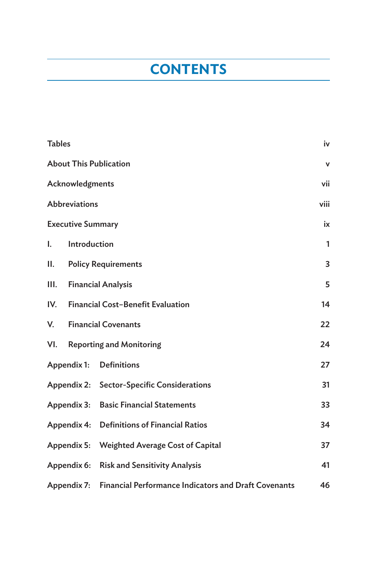## **CONTENTS**

| <b>Tables</b> |                                                        |                                                             | iv           |  |  |  |
|---------------|--------------------------------------------------------|-------------------------------------------------------------|--------------|--|--|--|
|               |                                                        | <b>About This Publication</b>                               | v            |  |  |  |
|               | Acknowledgments                                        |                                                             | vii          |  |  |  |
|               | <b>Abbreviations</b>                                   |                                                             | viii         |  |  |  |
|               | <b>Executive Summary</b>                               |                                                             | ix           |  |  |  |
| I.            | Introduction                                           |                                                             | $\mathbf{1}$ |  |  |  |
| Н.            |                                                        | <b>Policy Requirements</b>                                  | 3            |  |  |  |
| III.          | <b>Financial Analysis</b>                              |                                                             |              |  |  |  |
| IV.           | <b>Financial Cost-Benefit Evaluation</b>               |                                                             |              |  |  |  |
| V.            | <b>Financial Covenants</b>                             |                                                             |              |  |  |  |
| VI.           |                                                        | <b>Reporting and Monitoring</b>                             | 24           |  |  |  |
|               | Appendix 1:                                            | <b>Definitions</b>                                          | 27           |  |  |  |
|               |                                                        | Appendix 2: Sector-Specific Considerations                  | 31           |  |  |  |
|               | Appendix 3:                                            | <b>Basic Financial Statements</b>                           | 33           |  |  |  |
|               | <b>Definitions of Financial Ratios</b><br>Appendix 4:  |                                                             |              |  |  |  |
|               | Appendix 5:<br><b>Weighted Average Cost of Capital</b> |                                                             |              |  |  |  |
|               | Appendix 6:                                            | <b>Risk and Sensitivity Analysis</b>                        | 41           |  |  |  |
|               | Appendix 7:                                            | <b>Financial Performance Indicators and Draft Covenants</b> | 46           |  |  |  |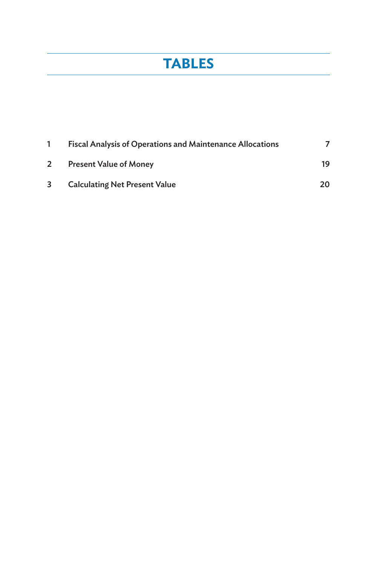## **TABLES**

|                       | <b>Fiscal Analysis of Operations and Maintenance Allocations</b> |    |
|-----------------------|------------------------------------------------------------------|----|
| $\mathbf{2}^{\prime}$ | <b>Present Value of Money</b>                                    | 19 |
| 3                     | <b>Calculating Net Present Value</b>                             | 20 |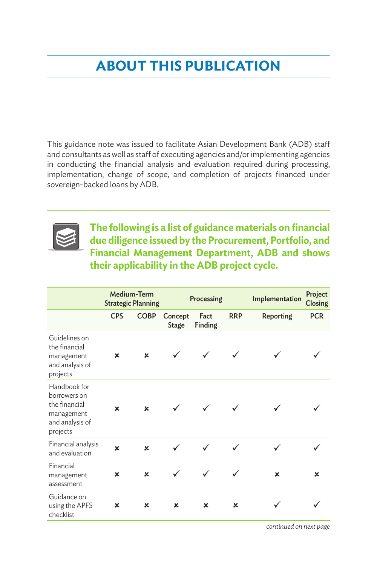## **ABOUT THIS PUBLICATION**

This guidance note was issued to facilitate Asian Development Bank (ADB) staff and consultants as well as staff of executing agencies and/or implementing agencies in conducting the financial analysis and evaluation required during processing, In conducting the miancial analysis and evaluation required during processing,<br>implementation, change of scope, and completion of projects financed under sovereign-backed loans by ADB. iplementation, change of scope, and completion or projects imanced under



**The following is a list of guidance materials on financial the following is a list of guidance materials on financial due diligence issued by the Procurement, Portfolio, and due diligence issued by the Procurement, Portfolio, Financial Management Department, ADB and shows and Financial Management department, adb, and their applicability in the ADB project cycle. shows their applicability in the adb project cycle:** 

|                                                                                            |             | Medium-Term<br><b>Strategic Planning</b> | Processing                |                 |            | Implementation | Project<br>Closing |
|--------------------------------------------------------------------------------------------|-------------|------------------------------------------|---------------------------|-----------------|------------|----------------|--------------------|
|                                                                                            | <b>CPS</b>  | <b>COBP</b>                              | Concept<br>Stage          | Fact<br>Finding | <b>RRP</b> | Reporting      | <b>PCR</b>         |
| Guidelines on<br>the financial<br>management<br>and analysis of<br>projects                | ×           | ×                                        |                           |                 |            |                |                    |
| Handbook for<br>borrowers on<br>the financial<br>management<br>and analysis of<br>projects | $\mathbf x$ | ×                                        |                           |                 |            |                |                    |
| Financial analysis<br>and evaluation                                                       | $\mathbf x$ | $\mathbf x$                              |                           |                 |            |                |                    |
| Financial<br>management<br>assessment                                                      | ×           | $\mathbf x$                              |                           |                 |            | ×              | ×                  |
| Guidance on<br>using the APFS<br>checklist                                                 | ×           | ×                                        | $\boldsymbol{\mathsf{x}}$ | $\mathbf x$     | ×          |                |                    |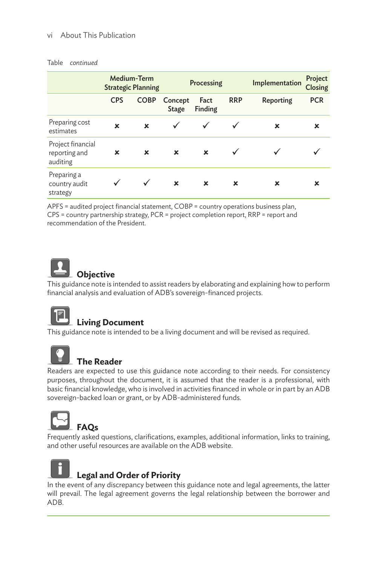#### vi About This Publication

#### Table continued

| <b>Medium-Term</b><br><b>Strategic Planning</b> |                | Processing       |                 |                | Implementation | Project<br>Closing |
|-------------------------------------------------|----------------|------------------|-----------------|----------------|----------------|--------------------|
| <b>CPS</b>                                      | <b>COBP</b>    | Concept<br>Stage | Fact<br>Finding | <b>RRP</b>     | Reporting      | <b>PCR</b>         |
| ×                                               | $\mathbf x$    |                  | $\checkmark$    |                | x              | ×                  |
| ×                                               | $\pmb{\times}$ | ×                | ×               |                |                |                    |
|                                                 |                | $\pmb{\times}$   | ×               | $\pmb{\times}$ | x              | ×                  |
|                                                 |                |                  |                 |                |                |                    |

.<br>APFS = audited project financial statement, COBP = country operations business plan, CPS = country partnership strategy, PCR = project completion report, RRP = report and recommendation of the President. APFS = audited project financial statement, COBP = country operations business plan,



**Example 20 Objective**<br>This guidance note is intended to assist readers by elaborating and explaining how to perform Financial analysis and evaluation of ADB's sovereign-financed projects. is guidance note is intended to assist readers by elaborating and explaining how to pe aindiariariary sis is guidance no<br>ancial analysis



#### **living Document**<br> **living Document**  $\blacksquare$  Living Document and will be a living document and will be required.

**This guidance note is intended to be a living document and will be revised as required.** is guidance note is intended to be a living document and will be revised as require



#### **the reader <b>the reader the reader the reader the reader th** In many circumstances, readers are expected to use this guidance note in a manner unique note in a manner unique  $\alpha$

**Example 1 He Reader**<br>Readers are expected to use this guidance note according to their needs. For consistency purposes, throughout the document, it is assumed that the reader is a professional, with basic financial knowledge, who is involved in activities financed in whole or in part by an ADB sovereign-backed loan or grant, or by ADB-administered funds.  $\mathcal{L}$  is a professional involved in activities finance or in  $\mathcal{L}$  in part by an ADB loan ADB loan ADB loan ADB loan ADB loan ADB loan ADB loan ADB loan ADB loan ADB loan ADB loan ADB loan ADB loan ADB loan ADB loan aders are expected to use this guidance note according to their needs. For consiste or grant, or by ADB-administered funds.



and ADB.

Frequently asked questions, clarifications, examples, additional information, links to training, and other useful resources are available on the ADB website.



## **Legal and Order of Priority legal and order of Priority legal and order of Priority**

In the event of any discrepancy between this guidance note and legal agreements, the latter will prevail. The legal agreement governs the legal relationship between the borrower and ADB. and ADB.  $\mathcal{L}_{\text{L}}$ latter will prevail. The legal agreement governs the legal relationships between the borrower th<br>DR and ADB.  $\Delta$ B. l prevail. The legal agreement governs the legal relationship between the borrower a<br>N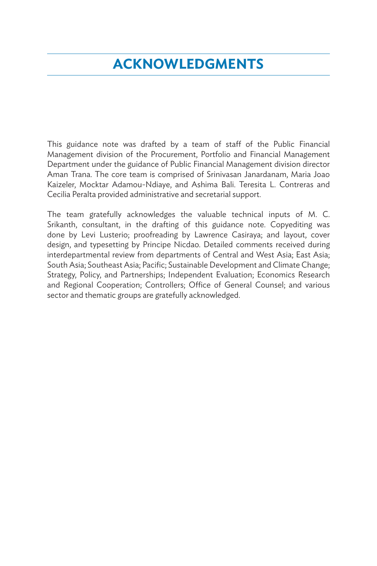## **ACKNOWLEDGMENTS**

This guidance note was drafted by a team of staff of the Public Financial Management division of the Procurement, Portfolio and Financial Management Department under the guidance of Public Financial Management division director Aman Trana. The core team is comprised of Srinivasan Janardanam, Maria Joao Kaizeler, Mocktar Adamou-Ndiaye, and Ashima Bali. Teresita L. Contreras and Cecilia Peralta provided administrative and secretarial support.

The team gratefully acknowledges the valuable technical inputs of M. C. Srikanth, consultant, in the drafting of this guidance note. Copyediting was done by Levi Lusterio; proofreading by Lawrence Casiraya; and layout, cover design, and typesetting by Principe Nicdao. Detailed comments received during interdepartmental review from departments of Central and West Asia; East Asia; South Asia; Southeast Asia; Pacific; Sustainable Development and Climate Change; Strategy, Policy, and Partnerships; Independent Evaluation; Economics Research and Regional Cooperation; Controllers; Office of General Counsel; and various sector and thematic groups are gratefully acknowledged.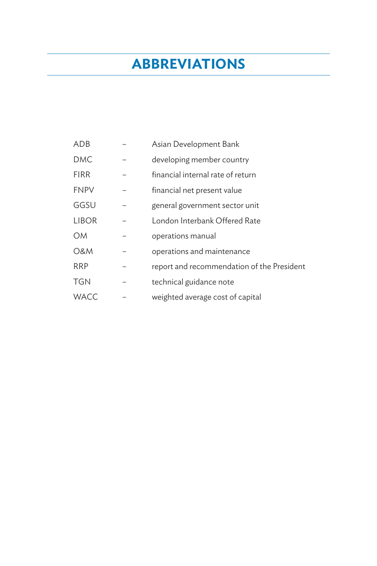## **ABBREVIATIONS**

| ADB          | Asian Development Bank                     |
|--------------|--------------------------------------------|
| <b>DMC</b>   | developing member country                  |
| <b>FIRR</b>  | financial internal rate of return          |
| <b>FNPV</b>  | financial net present value                |
| GGSU         | general government sector unit             |
| <b>LIBOR</b> | London Interbank Offered Rate              |
| <b>OM</b>    | operations manual                          |
| O&M          | operations and maintenance                 |
| <b>RRP</b>   | report and recommendation of the President |
| <b>TGN</b>   | technical guidance note                    |
| <b>WACC</b>  | weighted average cost of capital           |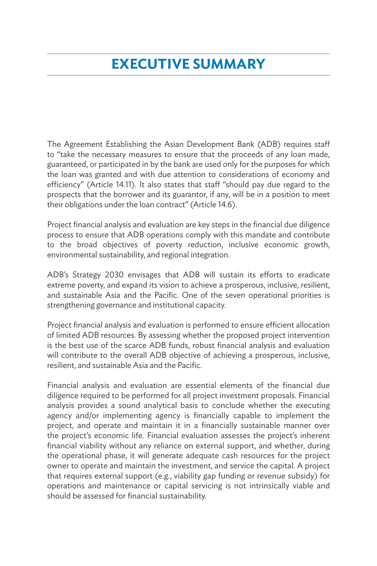## **EXECUTIVE SUMMARY**

The Agreement Establishing the Asian Development Bank (ADB) requires staff to "take the necessary measures to ensure that the proceeds of any loan made, guaranteed, or participated in by the bank are used only for the purposes for which the loan was granted and with due attention to considerations of economy and efficiency" (Article 14.11). It also states that staff "should pay due regard to the prospects that the borrower and its guarantor, if any, will be in a position to meet their obligations under the loan contract" (Article 14.6).

Project financial analysis and evaluation are key steps in the financial due diligence process to ensure that ADB operations comply with this mandate and contribute to the broad objectives of poverty reduction, inclusive economic growth, environmental sustainability, and regional integration.

ADB's Strategy 2030 envisages that ADB will sustain its efforts to eradicate extreme poverty, and expand its vision to achieve a prosperous, inclusive, resilient, and sustainable Asia and the Pacific. One of the seven operational priorities is strengthening governance and institutional capacity.

Project financial analysis and evaluation is performed to ensure efficient allocation of limited ADB resources. By assessing whether the proposed project intervention is the best use of the scarce ADB funds, robust financial analysis and evaluation will contribute to the overall ADB objective of achieving a prosperous, inclusive, resilient, and sustainable Asia and the Pacific.

Financial analysis and evaluation are essential elements of the financial due diligence required to be performed for all project investment proposals. Financial analysis provides a sound analytical basis to conclude whether the executing agency and/or implementing agency is financially capable to implement the project, and operate and maintain it in a financially sustainable manner over the project's economic life. Financial evaluation assesses the project's inherent financial viability without any reliance on external support, and whether, during the operational phase, it will generate adequate cash resources for the project owner to operate and maintain the investment, and service the capital. A project that requires external support (e.g., viability gap funding or revenue subsidy) for operations and maintenance or capital servicing is not intrinsically viable and should be assessed for financial sustainability.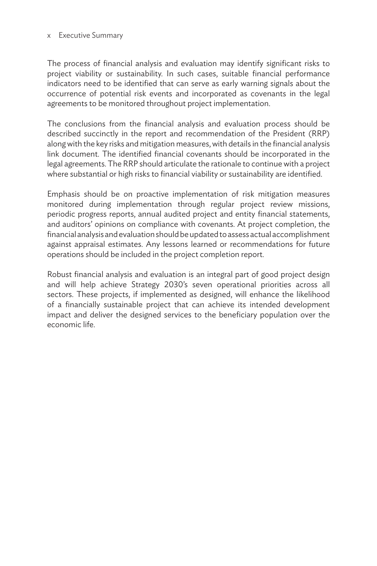#### x Executive Summary

The process of financial analysis and evaluation may identify significant risks to project viability or sustainability. In such cases, suitable financial performance indicators need to be identified that can serve as early warning signals about the occurrence of potential risk events and incorporated as covenants in the legal agreements to be monitored throughout project implementation.

The conclusions from the financial analysis and evaluation process should be described succinctly in the report and recommendation of the President (RRP) along with the key risks and mitigation measures, with details in the financial analysis link document. The identified financial covenants should be incorporated in the legal agreements. The RRP should articulate the rationale to continue with a project where substantial or high risks to financial viability or sustainability are identified.

Emphasis should be on proactive implementation of risk mitigation measures monitored during implementation through regular project review missions, periodic progress reports, annual audited project and entity financial statements, and auditors' opinions on compliance with covenants. At project completion, the financial analysis and evaluation should be updated to assess actual accomplishment against appraisal estimates. Any lessons learned or recommendations for future operations should be included in the project completion report.

Robust financial analysis and evaluation is an integral part of good project design and will help achieve Strategy 2030's seven operational priorities across all sectors. These projects, if implemented as designed, will enhance the likelihood of a financially sustainable project that can achieve its intended development impact and deliver the designed services to the beneficiary population over the economic life.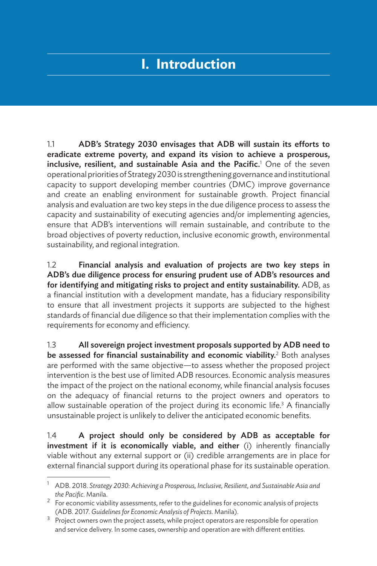## **I. Introduction**

1.1 ADB's Strategy 2030 envisages that ADB will sustain its efforts to eradicate extreme poverty, and expand its vision to achieve a prosperous, inclusive, resilient, and sustainable Asia and the Pacific.<sup>1</sup> One of the seven operational priorities of Strategy 2030 is strengthening governance and institutional capacity to support developing member countries (DMC) improve governance and create an enabling environment for sustainable growth. Project financial analysis and evaluation are two key steps in the due diligence process to assess the capacity and sustainability of executing agencies and/or implementing agencies, ensure that ADB's interventions will remain sustainable, and contribute to the broad objectives of poverty reduction, inclusive economic growth, environmental sustainability, and regional integration.

1.2 Financial analysis and evaluation of projects are two key steps in ADB's due diligence process for ensuring prudent use of ADB's resources and for identifying and mitigating risks to project and entity sustainability. ADB, as a financial institution with a development mandate, has a fiduciary responsibility to ensure that all investment projects it supports are subjected to the highest standards of financial due diligence so that their implementation complies with the requirements for economy and efficiency.

1.3 All sovereign project investment proposals supported by ADB need to be assessed for financial sustainability and economic viability. $2$  Both analyses are performed with the same objective—to assess whether the proposed project intervention is the best use of limited ADB resources. Economic analysis measures the impact of the project on the national economy, while financial analysis focuses on the adequacy of financial returns to the project owners and operators to allow sustainable operation of the project during its economic life.<sup>3</sup> A financially unsustainable project is unlikely to deliver the anticipated economic benefits.

1.4 A project should only be considered by ADB as acceptable for investment if it is economically viable, and either (i) inherently financially viable without any external support or (ii) credible arrangements are in place for external financial support during its operational phase for its sustainable operation.

<sup>1</sup> ADB. 2018. *Strategy 2030: Achieving a Prosperous, Inclusive, Resilient, and Sustainable Asia and the Pacific*. Manila.

 $2^{2}$  For economic viability assessments, refer to the guidelines for economic analysis of projects (ADB. 2017. *Guidelines for Economic Analysis of Projects*. Manila).

<sup>&</sup>lt;sup>3</sup> Project owners own the project assets, while project operators are responsible for operation and service delivery. In some cases, ownership and operation are with different entities.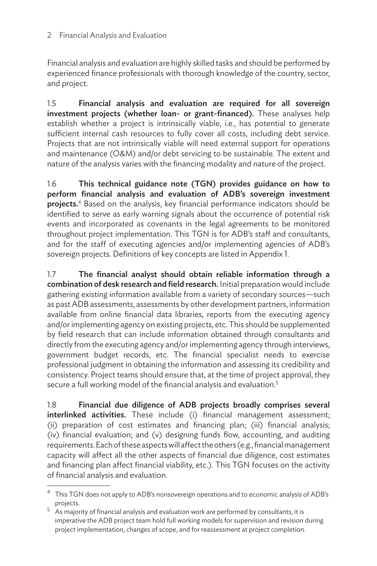#### 2 Financial Analysis and Evaluation

Financial analysis and evaluation are highly skilled tasks and should be performed by experienced finance professionals with thorough knowledge of the country, sector, and project.

1.5 Financial analysis and evaluation are required for all sovereign investment projects (whether loan- or grant-financed). These analyses help establish whether a project is intrinsically viable, i.e., has potential to generate sufficient internal cash resources to fully cover all costs, including debt service. Projects that are not intrinsically viable will need external support for operations and maintenance (O&M) and/or debt servicing to be sustainable. The extent and nature of the analysis varies with the financing modality and nature of the project.

1.6 This technical guidance note (TGN) provides guidance on how to perform financial analysis and evaluation of ADB's sovereign investment projects.<sup>4</sup> Based on the analysis, key financial performance indicators should be identified to serve as early warning signals about the occurrence of potential risk events and incorporated as covenants in the legal agreements to be monitored throughout project implementation. This TGN is for ADB's staff and consultants, and for the staff of executing agencies and/or implementing agencies of ADB's sovereign projects. Definitions of key concepts are listed in Appendix 1.

1.7 The financial analyst should obtain reliable information through a combination of desk research and field research. Initial preparation would include gathering existing information available from a variety of secondary sources—such as past ADB assessments, assessments by other development partners, information available from online financial data libraries, reports from the executing agency and/or implementing agency on existing projects, etc. This should be supplemented by field research that can include information obtained through consultants and directly from the executing agency and/or implementing agency through interviews, government budget records, etc. The financial specialist needs to exercise professional judgment in obtaining the information and assessing its credibility and consistency. Project teams should ensure that, at the time of project approval, they secure a full working model of the financial analysis and evaluation.<sup>5</sup>

1.8 Financial due diligence of ADB projects broadly comprises several interlinked activities. These include (i) financial management assessment; (ii) preparation of cost estimates and financing plan; (iii) financial analysis; (iv) financial evaluation; and (v) designing funds flow, accounting, and auditing requirements. Each of these aspects will affect the others (e.g., financial management capacity will affect all the other aspects of financial due diligence, cost estimates and financing plan affect financial viability, etc.). This TGN focuses on the activity of financial analysis and evaluation.

<sup>&</sup>lt;sup>4</sup> This TGN does not apply to ADB's nonsovereign operations and to economic analysis of ADB's projects.

 $^5$  As majority of financial analysis and evaluation work are performed by consultants, it is imperative the ADB project team hold full working models for supervision and revision during project implementation, changes of scope, and for reassessment at project completion.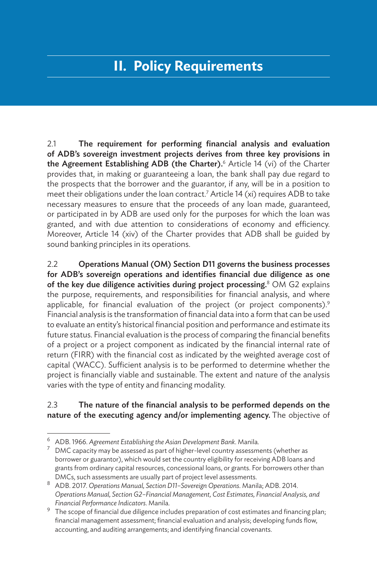## **II. Policy Requirements**

2.1 The requirement for performing financial analysis and evaluation of ADB's sovereign investment projects derives from three key provisions in the Agreement Establishing ADB (the Charter).<sup>6</sup> Article 14 (vi) of the Charter provides that, in making or guaranteeing a loan, the bank shall pay due regard to the prospects that the borrower and the guarantor, if any, will be in a position to meet their obligations under the loan contract.<sup>7</sup> Article 14 (xi) requires ADB to take necessary measures to ensure that the proceeds of any loan made, guaranteed, or participated in by ADB are used only for the purposes for which the loan was granted, and with due attention to considerations of economy and efficiency. Moreover, Article 14 (xiv) of the Charter provides that ADB shall be guided by sound banking principles in its operations.

2.2 Operations Manual (OM) Section D11 governs the business processes for ADB's sovereign operations and identifies financial due diligence as one of the key due diligence activities during project processing. $8$  OM G2 explains the purpose, requirements, and responsibilities for financial analysis, and where applicable, for financial evaluation of the project (or project components).<sup>9</sup> Financial analysis is the transformation of financial data into a form that can be used to evaluate an entity's historical financial position and performance and estimate its future status. Financial evaluation is the process of comparing the financial benefits of a project or a project component as indicated by the financial internal rate of return (FIRR) with the financial cost as indicated by the weighted average cost of capital (WACC). Sufficient analysis is to be performed to determine whether the project is financially viable and sustainable. The extent and nature of the analysis varies with the type of entity and financing modality.

#### 2.3 The nature of the financial analysis to be performed depends on the nature of the executing agency and/or implementing agency. The objective of

<sup>6</sup> ADB. 1966. *Agreement Establishing the Asian Development Bank*. Manila.

DMC capacity may be assessed as part of higher-level country assessments (whether as borrower or guarantor), which would set the country eligibility for receiving ADB loans and grants from ordinary capital resources, concessional loans, or grants. For borrowers other than DMCs, such assessments are usually part of project level assessments.

<sup>8</sup> ADB. 2017. *Operations Manual, Section D11–Sovereign Operations*. Manila; ADB. 2014. *Operations Manual, Section G2–Financial Management, Cost Estimates, Financial Analysis, and Financial Performance Indicators*. Manila.

<sup>9</sup> The scope of financial due diligence includes preparation of cost estimates and financing plan; financial management assessment; financial evaluation and analysis; developing funds flow, accounting, and auditing arrangements; and identifying financial covenants.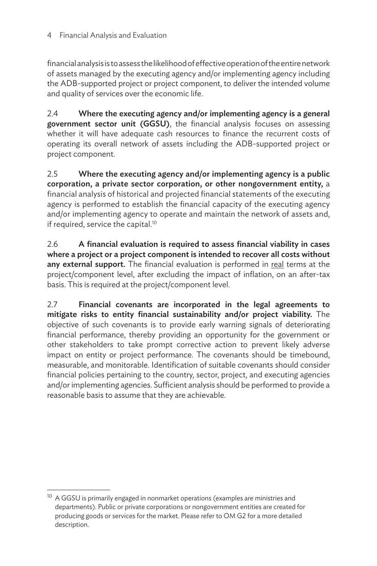financial analysis is to assess the likelihood of effective operation of the entire network of assets managed by the executing agency and/or implementing agency including the ADB-supported project or project component, to deliver the intended volume and quality of services over the economic life.

2.4 Where the executing agency and/or implementing agency is a general government sector unit (GGSU), the financial analysis focuses on assessing whether it will have adequate cash resources to finance the recurrent costs of operating its overall network of assets including the ADB-supported project or project component.

2.5 Where the executing agency and/or implementing agency is a public corporation, a private sector corporation, or other nongovernment entity, a financial analysis of historical and projected financial statements of the executing agency is performed to establish the financial capacity of the executing agency and/or implementing agency to operate and maintain the network of assets and, if required, service the capital.<sup>10</sup>

2.6 A financial evaluation is required to assess financial viability in cases where a project or a project component is intended to recover all costs without any external support. The financial evaluation is performed in real terms at the project/component level, after excluding the impact of inflation, on an after-tax basis. This is required at the project/component level.

2.7 Financial covenants are incorporated in the legal agreements to mitigate risks to entity financial sustainability and/or project viability. The objective of such covenants is to provide early warning signals of deteriorating financial performance, thereby providing an opportunity for the government or other stakeholders to take prompt corrective action to prevent likely adverse impact on entity or project performance. The covenants should be timebound, measurable, and monitorable. Identification of suitable covenants should consider financial policies pertaining to the country, sector, project, and executing agencies and/or implementing agencies. Sufficient analysis should be performed to provide a reasonable basis to assume that they are achievable.

 $10$  A GGSU is primarily engaged in nonmarket operations (examples are ministries and departments). Public or private corporations or nongovernment entities are created for producing goods or services for the market. Please refer to OM G2 for a more detailed description.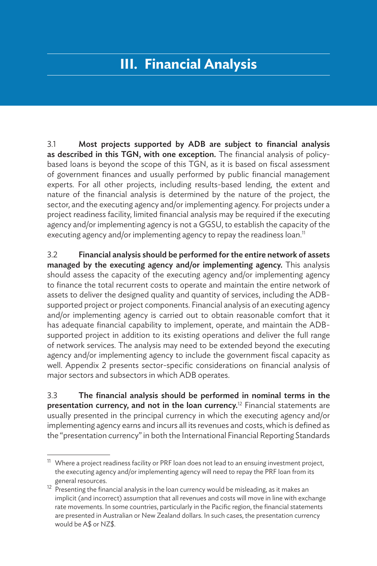## **III. Financial Analysis**

3.1 Most projects supported by ADB are subject to financial analysis as described in this TGN, with one exception. The financial analysis of policybased loans is beyond the scope of this TGN, as it is based on fiscal assessment of government finances and usually performed by public financial management experts. For all other projects, including results-based lending, the extent and nature of the financial analysis is determined by the nature of the project, the sector, and the executing agency and/or implementing agency. For projects under a project readiness facility, limited financial analysis may be required if the executing agency and/or implementing agency is not a GGSU, to establish the capacity of the executing agency and/or implementing agency to repay the readiness loan.<sup>11</sup>

3.2 Financial analysis should be performed for the entire network of assets managed by the executing agency and/or implementing agency. This analysis should assess the capacity of the executing agency and/or implementing agency to finance the total recurrent costs to operate and maintain the entire network of assets to deliver the designed quality and quantity of services, including the ADBsupported project or project components. Financial analysis of an executing agency and/or implementing agency is carried out to obtain reasonable comfort that it has adequate financial capability to implement, operate, and maintain the ADBsupported project in addition to its existing operations and deliver the full range of network services. The analysis may need to be extended beyond the executing agency and/or implementing agency to include the government fiscal capacity as well. Appendix 2 presents sector-specific considerations on financial analysis of major sectors and subsectors in which ADB operates.

3.3 The financial analysis should be performed in nominal terms in the presentation currency, and not in the loan currency.<sup>12</sup> Financial statements are usually presented in the principal currency in which the executing agency and/or implementing agency earns and incurs all its revenues and costs, which is defined as the "presentation currency" in both the International Financial Reporting Standards

 $11$  Where a project readiness facility or PRF loan does not lead to an ensuing investment project, the executing agency and/or implementing agency will need to repay the PRF loan from its

general resources.<br><sup>12</sup> Presenting the financial analysis in the loan currency would be misleading, as it makes an implicit (and incorrect) assumption that all revenues and costs will move in line with exchange rate movements. In some countries, particularly in the Pacific region, the financial statements are presented in Australian or New Zealand dollars. In such cases, the presentation currency would be A\$ or NZ\$.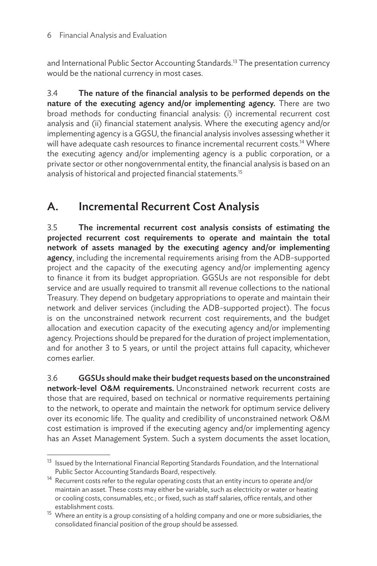and International Public Sector Accounting Standards.<sup>13</sup> The presentation currency would be the national currency in most cases.

3.4 The nature of the financial analysis to be performed depends on the nature of the executing agency and/or implementing agency. There are two broad methods for conducting financial analysis: (i) incremental recurrent cost analysis and (ii) financial statement analysis. Where the executing agency and/or implementing agency is a GGSU, the financial analysis involves assessing whether it will have adequate cash resources to finance incremental recurrent costs.<sup>14</sup> Where the executing agency and/or implementing agency is a public corporation, or a private sector or other nongovernmental entity, the financial analysis is based on an analysis of historical and projected financial statements.15

## A. Incremental Recurrent Cost Analysis

3.5 The incremental recurrent cost analysis consists of estimating the projected recurrent cost requirements to operate and maintain the total network of assets managed by the executing agency and/or implementing agency, including the incremental requirements arising from the ADB-supported project and the capacity of the executing agency and/or implementing agency to finance it from its budget appropriation. GGSUs are not responsible for debt service and are usually required to transmit all revenue collections to the national Treasury. They depend on budgetary appropriations to operate and maintain their network and deliver services (including the ADB-supported project). The focus is on the unconstrained network recurrent cost requirements, and the budget allocation and execution capacity of the executing agency and/or implementing agency. Projections should be prepared for the duration of project implementation, and for another 3 to 5 years, or until the project attains full capacity, whichever comes earlier.

3.6 GGSUs should make their budget requests based on the unconstrained network-level O&M requirements. Unconstrained network recurrent costs are those that are required, based on technical or normative requirements pertaining to the network, to operate and maintain the network for optimum service delivery over its economic life. The quality and credibility of unconstrained network O&M cost estimation is improved if the executing agency and/or implementing agency has an Asset Management System. Such a system documents the asset location,

<sup>&</sup>lt;sup>13</sup> Issued by the International Financial Reporting Standards Foundation, and the International Public Sector Accounting Standards Board, respectively.

 $14$  Recurrent costs refer to the regular operating costs that an entity incurs to operate and/or maintain an asset. These costs may either be variable, such as electricity or water or heating or cooling costs, consumables, etc.; or fixed, such as staff salaries, office rentals, and other establishment costs.

<sup>&</sup>lt;sup>15</sup> Where an entity is a group consisting of a holding company and one or more subsidiaries, the consolidated financial position of the group should be assessed.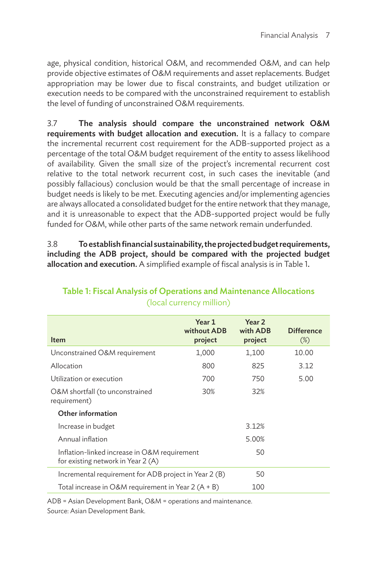age, physical condition, historical O&M, and recommended O&M, and can help provide objective estimates of O&M requirements and asset replacements. Budget appropriation may be lower due to fiscal constraints, and budget utilization or execution needs to be compared with the unconstrained requirement to establish the level of funding of unconstrained O&M requirements.

3.7 The analysis should compare the unconstrained network O&M requirements with budget allocation and execution. It is a fallacy to compare the incremental recurrent cost requirement for the ADB-supported project as a percentage of the total O&M budget requirement of the entity to assess likelihood of availability. Given the small size of the project's incremental recurrent cost relative to the total network recurrent cost, in such cases the inevitable (and possibly fallacious) conclusion would be that the small percentage of increase in budget needs is likely to be met. Executing agencies and/or implementing agencies are always allocated a consolidated budget for the entire network that they manage, and it is unreasonable to expect that the ADB-supported project would be fully funded for O&M, while other parts of the same network remain underfunded.

3.8 To establish financial sustainability, the projected budget requirements, including the ADB project, should be compared with the projected budget allocation and execution. A simplified example of fiscal analysis is in Table 1.

| Item                                                                               | Year 1<br>without ADB<br>project | Year <sub>2</sub><br>with ADB<br>project | <b>Difference</b><br>$(\%)$ |  |  |
|------------------------------------------------------------------------------------|----------------------------------|------------------------------------------|-----------------------------|--|--|
| Unconstrained O&M requirement                                                      | 1,000                            | 1,100                                    | 10.00                       |  |  |
| Allocation                                                                         | 800                              | 825                                      | 3.12                        |  |  |
| Utilization or execution                                                           | 700                              | 750                                      | 5.00                        |  |  |
| O&M shortfall (to unconstrained<br>requirement)                                    | 30%                              | 32%                                      |                             |  |  |
| Other information                                                                  |                                  |                                          |                             |  |  |
| Increase in budget                                                                 |                                  | 3.12%                                    |                             |  |  |
| Annual inflation                                                                   |                                  | 5.00%                                    |                             |  |  |
| Inflation-linked increase in O&M requirement<br>for existing network in Year 2 (A) |                                  | 50                                       |                             |  |  |
| Incremental requirement for ADB project in Year 2 (B)                              |                                  | 50                                       |                             |  |  |
| Total increase in O&M requirement in Year $2(A + B)$                               |                                  | 100                                      |                             |  |  |

#### Table 1: Fiscal Analysis of Operations and Maintenance Allocations (local currency million)

ADB = Asian Development Bank, O&M = operations and maintenance.

Source: Asian Development Bank.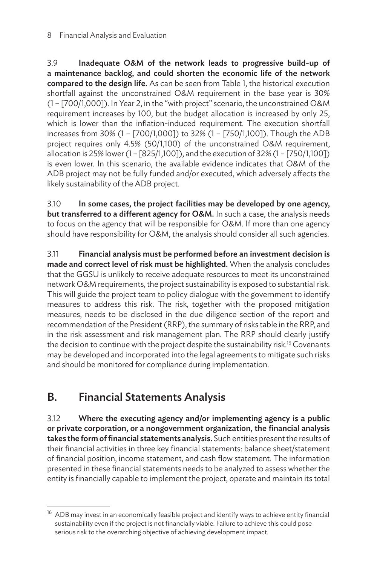3.9 Inadequate O&M of the network leads to progressive build-up of a maintenance backlog, and could shorten the economic life of the network compared to the design life. As can be seen from Table 1, the historical execution shortfall against the unconstrained O&M requirement in the base year is 30% (1 – [700/1,000]). In Year 2, in the "with project" scenario, the unconstrained O&M requirement increases by 100, but the budget allocation is increased by only 25, which is lower than the inflation-induced requirement. The execution shortfall increases from 30% (1 – [700/1,000]) to 32% (1 – [750/1,100]). Though the ADB project requires only 4.5% (50/1,100) of the unconstrained O&M requirement, allocation is 25% lower (1 – [825/1,100]), and the execution of 32% (1 – [750/1,100]) is even lower. In this scenario, the available evidence indicates that O&M of the ADB project may not be fully funded and/or executed, which adversely affects the likely sustainability of the ADB project.

3.10 In some cases, the project facilities may be developed by one agency, but transferred to a different agency for O&M. In such a case, the analysis needs to focus on the agency that will be responsible for O&M. If more than one agency should have responsibility for O&M, the analysis should consider all such agencies.

3.11 Financial analysis must be performed before an investment decision is made and correct level of risk must be highlighted. When the analysis concludes that the GGSU is unlikely to receive adequate resources to meet its unconstrained network O&M requirements, the project sustainability is exposed to substantial risk. This will guide the project team to policy dialogue with the government to identify measures to address this risk. The risk, together with the proposed mitigation measures, needs to be disclosed in the due diligence section of the report and recommendation of the President (RRP), the summary of risks table in the RRP, and in the risk assessment and risk management plan. The RRP should clearly justify the decision to continue with the project despite the sustainability risk.<sup>16</sup> Covenants may be developed and incorporated into the legal agreements to mitigate such risks and should be monitored for compliance during implementation.

## B. Financial Statements Analysis

3.12 Where the executing agency and/or implementing agency is a public or private corporation, or a nongovernment organization, the financial analysis takes the form of financial statements analysis. Such entities present the results of their financial activities in three key financial statements: balance sheet/statement of financial position, income statement, and cash flow statement. The information presented in these financial statements needs to be analyzed to assess whether the entity is financially capable to implement the project, operate and maintain its total

<sup>&</sup>lt;sup>16</sup> ADB may invest in an economically feasible project and identify ways to achieve entity financial sustainability even if the project is not financially viable. Failure to achieve this could pose serious risk to the overarching objective of achieving development impact.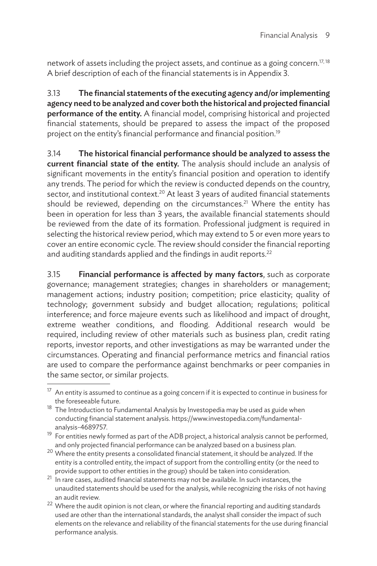network of assets including the project assets, and continue as a going concern.<sup>17, 18</sup> A brief description of each of the financial statements is in Appendix 3.

3.13 The financial statements of the executing agency and/or implementing agency need to be analyzed and cover both the historical and projected financial performance of the entity. A financial model, comprising historical and projected financial statements, should be prepared to assess the impact of the proposed project on the entity's financial performance and financial position.19

3.14 The historical financial performance should be analyzed to assess the current financial state of the entity. The analysis should include an analysis of significant movements in the entity's financial position and operation to identify any trends. The period for which the review is conducted depends on the country, sector, and institutional context.<sup>20</sup> At least 3 years of audited financial statements should be reviewed, depending on the circumstances.<sup>21</sup> Where the entity has been in operation for less than 3 years, the available financial statements should be reviewed from the date of its formation. Professional judgment is required in selecting the historical review period, which may extend to 5 or even more years to cover an entire economic cycle. The review should consider the financial reporting and auditing standards applied and the findings in audit reports.<sup>22</sup>

3.15 Financial performance is affected by many factors, such as corporate governance; management strategies; changes in shareholders or management; management actions; industry position; competition; price elasticity; quality of technology; government subsidy and budget allocation; regulations; political interference; and force majeure events such as likelihood and impact of drought, extreme weather conditions, and flooding. Additional research would be required, including review of other materials such as business plan, credit rating reports, investor reports, and other investigations as may be warranted under the circumstances. Operating and financial performance metrics and financial ratios are used to compare the performance against benchmarks or peer companies in the same sector, or similar projects.

An entity is assumed to continue as a going concern if it is expected to continue in business for the foreseeable future.

<sup>&</sup>lt;sup>18</sup> The Introduction to Fundamental Analysis by Investopedia may be used as guide when conducting financial statement analysis. https://www.investopedia.com/fundamentalanalysis-4689757.

<sup>&</sup>lt;sup>19</sup> For entities newly formed as part of the ADB project, a historical analysis cannot be performed, and only projected financial performance can be analyzed based on a business plan.

 $20$  Where the entity presents a consolidated financial statement, it should be analyzed. If the entity is a controlled entity, the impact of support from the controlling entity (or the need to provide support to other entities in the group) should be taken into consideration.

<sup>21</sup> In rare cases, audited financial statements may not be available. In such instances, the unaudited statements should be used for the analysis, while recognizing the risks of not having an audit review.

 $22$  Where the audit opinion is not clean, or where the financial reporting and auditing standards used are other than the international standards, the analyst shall consider the impact of such elements on the relevance and reliability of the financial statements for the use during financial performance analysis.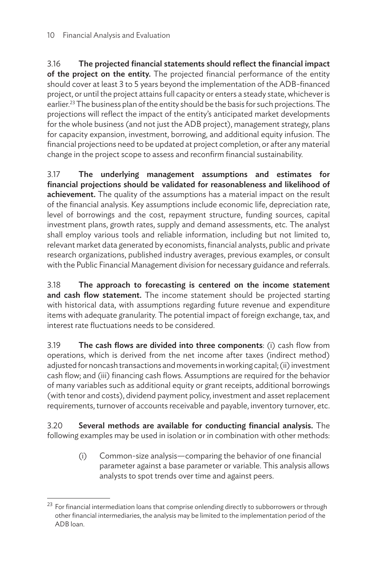3.16 The projected financial statements should reflect the financial impact of the project on the entity. The projected financial performance of the entity should cover at least 3 to 5 years beyond the implementation of the ADB-financed project, or until the project attains full capacity or enters a steady state, whichever is earlier.<sup>23</sup> The business plan of the entity should be the basis for such projections. The projections will reflect the impact of the entity's anticipated market developments for the whole business (and not just the ADB project), management strategy, plans for capacity expansion, investment, borrowing, and additional equity infusion. The financial projections need to be updated at project completion, or after any material change in the project scope to assess and reconfirm financial sustainability.

3.17 The underlying management assumptions and estimates for financial projections should be validated for reasonableness and likelihood of achievement. The quality of the assumptions has a material impact on the result of the financial analysis. Key assumptions include economic life, depreciation rate, level of borrowings and the cost, repayment structure, funding sources, capital investment plans, growth rates, supply and demand assessments, etc. The analyst shall employ various tools and reliable information, including but not limited to, relevant market data generated by economists, financial analysts, public and private research organizations, published industry averages, previous examples, or consult with the Public Financial Management division for necessary guidance and referrals.

3.18 The approach to forecasting is centered on the income statement and cash flow statement. The income statement should be projected starting with historical data, with assumptions regarding future revenue and expenditure items with adequate granularity. The potential impact of foreign exchange, tax, and interest rate fluctuations needs to be considered.

3.19 The cash flows are divided into three components: (i) cash flow from operations, which is derived from the net income after taxes (indirect method) adjusted for noncash transactions and movements in working capital; (ii) investment cash flow; and (iii) financing cash flows. Assumptions are required for the behavior of many variables such as additional equity or grant receipts, additional borrowings (with tenor and costs), dividend payment policy, investment and asset replacement requirements, turnover of accounts receivable and payable, inventory turnover, etc.

3.20 Several methods are available for conducting financial analysis. The following examples may be used in isolation or in combination with other methods:

> (i) Common-size analysis—comparing the behavior of one financial parameter against a base parameter or variable. This analysis allows analysts to spot trends over time and against peers.

<sup>&</sup>lt;sup>23</sup> For financial intermediation loans that comprise onlending directly to subborrowers or through other financial intermediaries, the analysis may be limited to the implementation period of the ADB loan.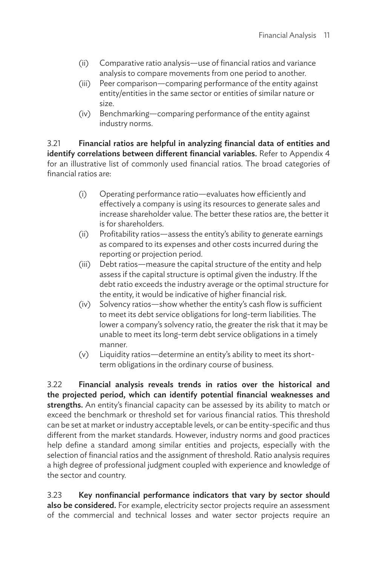- (ii) Comparative ratio analysis—use of financial ratios and variance analysis to compare movements from one period to another.
- (iii) Peer comparison—comparing performance of the entity against entity/entities in the same sector or entities of similar nature or size.
- (iv) Benchmarking—comparing performance of the entity against industry norms.

3.21 Financial ratios are helpful in analyzing financial data of entities and identify correlations between different financial variables. Refer to Appendix 4 for an illustrative list of commonly used financial ratios. The broad categories of financial ratios are:

- (i) Operating performance ratio—evaluates how efficiently and effectively a company is using its resources to generate sales and increase shareholder value. The better these ratios are, the better it is for shareholders.
- (ii) Profitability ratios—assess the entity's ability to generate earnings as compared to its expenses and other costs incurred during the reporting or projection period.
- (iii) Debt ratios—measure the capital structure of the entity and help assess if the capital structure is optimal given the industry. If the debt ratio exceeds the industry average or the optimal structure for the entity, it would be indicative of higher financial risk.
- (iv) Solvency ratios—show whether the entity's cash flow is sufficient to meet its debt service obligations for long-term liabilities. The lower a company's solvency ratio, the greater the risk that it may be unable to meet its long-term debt service obligations in a timely manner.
- (v) Liquidity ratios—determine an entity's ability to meet its shortterm obligations in the ordinary course of business.

3.22 Financial analysis reveals trends in ratios over the historical and the projected period, which can identify potential financial weaknesses and strengths. An entity's financial capacity can be assessed by its ability to match or exceed the benchmark or threshold set for various financial ratios. This threshold can be set at market or industry acceptable levels, or can be entity-specific and thus different from the market standards. However, industry norms and good practices help define a standard among similar entities and projects, especially with the selection of financial ratios and the assignment of threshold. Ratio analysis requires a high degree of professional judgment coupled with experience and knowledge of the sector and country.

3.23 Key nonfinancial performance indicators that vary by sector should also be considered. For example, electricity sector projects require an assessment of the commercial and technical losses and water sector projects require an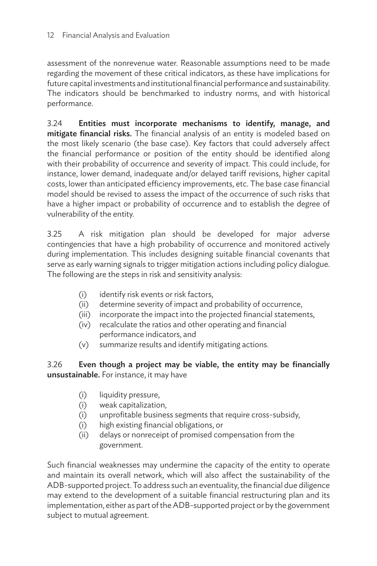assessment of the nonrevenue water. Reasonable assumptions need to be made regarding the movement of these critical indicators, as these have implications for future capital investments and institutional financial performance and sustainability. The indicators should be benchmarked to industry norms, and with historical performance.

3.24 Entities must incorporate mechanisms to identify, manage, and mitigate financial risks. The financial analysis of an entity is modeled based on the most likely scenario (the base case). Key factors that could adversely affect the financial performance or position of the entity should be identified along with their probability of occurrence and severity of impact. This could include, for instance, lower demand, inadequate and/or delayed tariff revisions, higher capital costs, lower than anticipated efficiency improvements, etc. The base case financial model should be revised to assess the impact of the occurrence of such risks that have a higher impact or probability of occurrence and to establish the degree of vulnerability of the entity.

3.25 A risk mitigation plan should be developed for major adverse contingencies that have a high probability of occurrence and monitored actively during implementation. This includes designing suitable financial covenants that serve as early warning signals to trigger mitigation actions including policy dialogue. The following are the steps in risk and sensitivity analysis:

- (i) identify risk events or risk factors,
- (ii) determine severity of impact and probability of occurrence,
- (iii) incorporate the impact into the projected financial statements,
- (iv) recalculate the ratios and other operating and financial performance indicators, and
- (v) summarize results and identify mitigating actions.

#### 3.26 Even though a project may be viable, the entity may be financially unsustainable. For instance, it may have

- (i) liquidity pressure,
- (i) weak capitalization,
- (i) unprofitable business segments that require cross-subsidy,
- (i) high existing financial obligations, or
- (ii) delays or nonreceipt of promised compensation from the government.

Such financial weaknesses may undermine the capacity of the entity to operate and maintain its overall network, which will also affect the sustainability of the ADB-supported project. To address such an eventuality, the financial due diligence may extend to the development of a suitable financial restructuring plan and its implementation, either as part of the ADB-supported project or by the government subject to mutual agreement.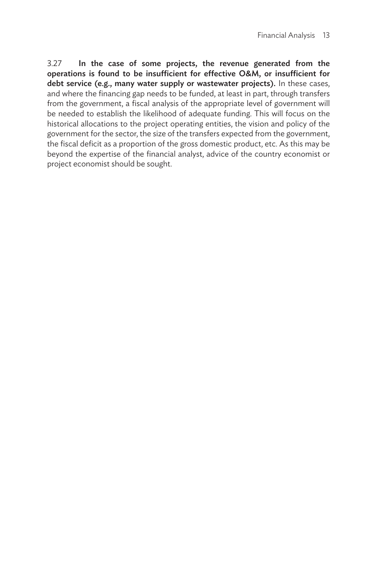3.27 In the case of some projects, the revenue generated from the operations is found to be insufficient for effective O&M, or insufficient for debt service (e.g., many water supply or wastewater projects). In these cases, and where the financing gap needs to be funded, at least in part, through transfers from the government, a fiscal analysis of the appropriate level of government will be needed to establish the likelihood of adequate funding. This will focus on the historical allocations to the project operating entities, the vision and policy of the government for the sector, the size of the transfers expected from the government, the fiscal deficit as a proportion of the gross domestic product, etc. As this may be beyond the expertise of the financial analyst, advice of the country economist or project economist should be sought.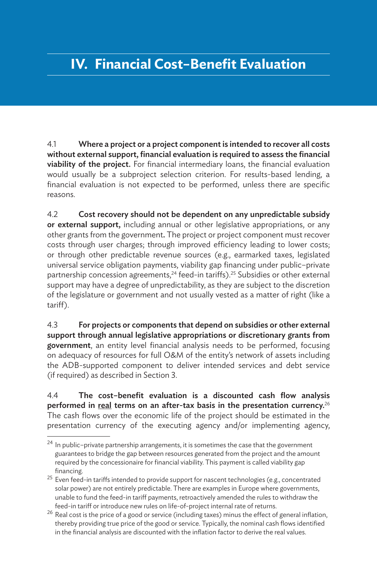## **IV. Financial Cost–Benefit Evaluation**

4.1 Where a project or a project component is intended to recover all costs without external support, financial evaluation is required to assess the financial viability of the project. For financial intermediary loans, the financial evaluation would usually be a subproject selection criterion. For results-based lending, a financial evaluation is not expected to be performed, unless there are specific reasons.

4.2 Cost recovery should not be dependent on any unpredictable subsidy or external support, including annual or other legislative appropriations, or any other grants from the government. The project or project component must recover costs through user charges; through improved efficiency leading to lower costs; or through other predictable revenue sources (e.g., earmarked taxes, legislated universal service obligation payments, viability gap financing under public–private partnership concession agreements,<sup>24</sup> feed-in tariffs).<sup>25</sup> Subsidies or other external support may have a degree of unpredictability, as they are subject to the discretion of the legislature or government and not usually vested as a matter of right (like a tariff).

4.3 For projects or components that depend on subsidies or other external support through annual legislative appropriations or discretionary grants from government, an entity level financial analysis needs to be performed, focusing on adequacy of resources for full O&M of the entity's network of assets including the ADB-supported component to deliver intended services and debt service (if required) as described in Section 3.

4.4 The cost–benefit evaluation is a discounted cash flow analysis performed in real terms on an after-tax basis in the presentation currency.<sup>26</sup> The cash flows over the economic life of the project should be estimated in the presentation currency of the executing agency and/or implementing agency,

 $24$  In public-private partnership arrangements, it is sometimes the case that the government guarantees to bridge the gap between resources generated from the project and the amount required by the concessionaire for financial viability. This payment is called viability gap financing.

 $25$  Even feed-in tariffs intended to provide support for nascent technologies (e.g., concentrated solar power) are not entirely predictable. There are examples in Europe where governments, unable to fund the feed-in tariff payments, retroactively amended the rules to withdraw the feed-in tariff or introduce new rules on life-of-project internal rate of returns.

 $26$  Real cost is the price of a good or service (including taxes) minus the effect of general inflation, thereby providing true price of the good or service. Typically, the nominal cash flows identified in the financial analysis are discounted with the inflation factor to derive the real values.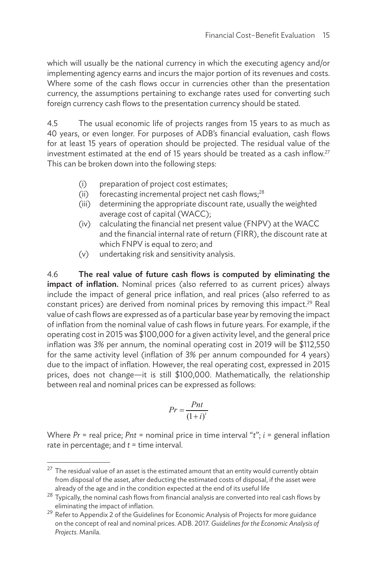which will usually be the national currency in which the executing agency and/or implementing agency earns and incurs the major portion of its revenues and costs. Where some of the cash flows occur in currencies other than the presentation currency, the assumptions pertaining to exchange rates used for converting such foreign currency cash flows to the presentation currency should be stated.

4.5 The usual economic life of projects ranges from 15 years to as much as 40 years, or even longer. For purposes of ADB's financial evaluation, cash flows for at least 15 years of operation should be projected. The residual value of the investment estimated at the end of 15 years should be treated as a cash inflow. $27$ This can be broken down into the following steps:

- (i) preparation of project cost estimates;
- (ii) forecasting incremental project net cash flows; $^{28}$
- (iii) determining the appropriate discount rate, usually the weighted average cost of capital (WACC);
- (iv) calculating the financial net present value (FNPV) at the WACC and the financial internal rate of return (FIRR), the discount rate at which FNPV is equal to zero; and
- (v) undertaking risk and sensitivity analysis.

4.6 The real value of future cash flows is computed by eliminating the impact of inflation. Nominal prices (also referred to as current prices) always include the impact of general price inflation, and real prices (also referred to as constant prices) are derived from nominal prices by removing this impact.<sup>29</sup> Real value of cash flows are expressed as of a particular base year by removing the impact of inflation from the nominal value of cash flows in future years. For example, if the operating cost in 2015 was \$100,000 for a given activity level, and the general price inflation was 3% per annum, the nominal operating cost in 2019 will be \$112,550 for the same activity level (inflation of 3% per annum compounded for 4 years) due to the impact of inflation. However, the real operating cost, expressed in 2015 prices, does not change—it is still \$100,000. Mathematically, the relationship between real and nominal prices can be expressed as follows:

$$
Pr = \frac{Pnt}{(1+i)^t}
$$

Where *Pr* = real price; *Pnt* = nominal price in time interval "*t*"; *i* = general inflation rate in percentage; and *t* = time interval.

 $27$  The residual value of an asset is the estimated amount that an entity would currently obtain from disposal of the asset, after deducting the estimated costs of disposal, if the asset were already of the age and in the condition expected at the end of its useful life

<sup>28</sup> Typically, the nominal cash flows from financial analysis are converted into real cash flows by eliminating the impact of inflation.

 $29$  Refer to Appendix 2 of the Guidelines for Economic Analysis of Projects for more guidance on the concept of real and nominal prices. ADB. 2017. *Guidelines for the Economic Analysis of Projects*. Manila.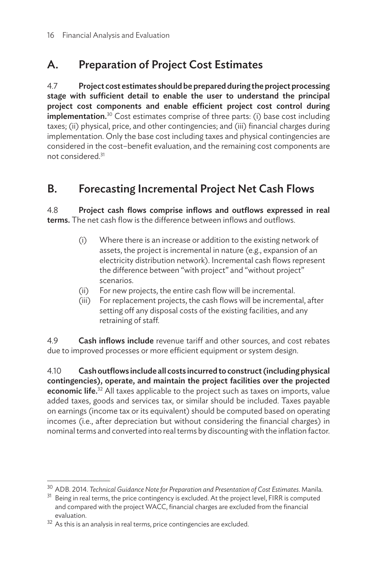## A. Preparation of Project Cost Estimates

4.7 Project cost estimates should be prepared during the project processing stage with sufficient detail to enable the user to understand the principal project cost components and enable efficient project cost control during **implementation.**<sup>30</sup> Cost estimates comprise of three parts: (i) base cost including taxes; (ii) physical, price, and other contingencies; and (iii) financial charges during implementation. Only the base cost including taxes and physical contingencies are considered in the cost–benefit evaluation, and the remaining cost components are not considered.31

### B. Forecasting Incremental Project Net Cash Flows

4.8 Project cash flows comprise inflows and outflows expressed in real terms. The net cash flow is the difference between inflows and outflows.

- (i) Where there is an increase or addition to the existing network of assets, the project is incremental in nature (e.g., expansion of an electricity distribution network). Incremental cash flows represent the difference between "with project" and "without project" scenarios.
- (ii) For new projects, the entire cash flow will be incremental.
- (iii) For replacement projects, the cash flows will be incremental, after setting off any disposal costs of the existing facilities, and any retraining of staff.

4.9 Cash inflows include revenue tariff and other sources, and cost rebates due to improved processes or more efficient equipment or system design.

4.10 Cash outflows include all costs incurred to construct (including physical contingencies), operate, and maintain the project facilities over the projected **economic life.**<sup>32</sup> All taxes applicable to the project such as taxes on imports, value added taxes, goods and services tax, or similar should be included. Taxes payable on earnings (income tax or its equivalent) should be computed based on operating incomes (i.e., after depreciation but without considering the financial charges) in nominal terms and converted into real terms by discounting with the inflation factor.

<sup>30</sup> ADB. 2014. *Technical Guidance Note for Preparation and Presentation of Cost Estimates*. Manila.

<sup>&</sup>lt;sup>31</sup> Being in real terms, the price contingency is excluded. At the project level, FIRR is computed and compared with the project WACC, financial charges are excluded from the financial evaluation.

 $32$  As this is an analysis in real terms, price contingencies are excluded.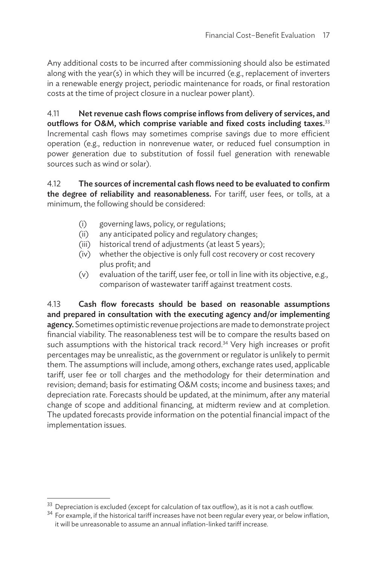Any additional costs to be incurred after commissioning should also be estimated along with the year(s) in which they will be incurred (e.g., replacement of inverters in a renewable energy project, periodic maintenance for roads, or final restoration costs at the time of project closure in a nuclear power plant).

4.11 Net revenue cash flows comprise inflows from delivery of services, and outflows for O&M, which comprise variable and fixed costs including taxes.<sup>33</sup> Incremental cash flows may sometimes comprise savings due to more efficient operation (e.g., reduction in nonrevenue water, or reduced fuel consumption in power generation due to substitution of fossil fuel generation with renewable sources such as wind or solar).

4.12 The sources of incremental cash flows need to be evaluated to confirm the degree of reliability and reasonableness. For tariff, user fees, or tolls, at a minimum, the following should be considered:

- (i) governing laws, policy, or regulations;
- (ii) any anticipated policy and regulatory changes;
- (iii) historical trend of adjustments (at least 5 years);
- (iv) whether the objective is only full cost recovery or cost recovery plus profit; and
- (v) evaluation of the tariff, user fee, or toll in line with its objective, e.g., comparison of wastewater tariff against treatment costs.

4.13 Cash flow forecasts should be based on reasonable assumptions and prepared in consultation with the executing agency and/or implementing agency. Sometimes optimistic revenue projections are made to demonstrate project financial viability. The reasonableness test will be to compare the results based on such assumptions with the historical track record.<sup>34</sup> Very high increases or profit percentages may be unrealistic, as the government or regulator is unlikely to permit them. The assumptions will include, among others, exchange rates used, applicable tariff, user fee or toll charges and the methodology for their determination and revision; demand; basis for estimating O&M costs; income and business taxes; and depreciation rate. Forecasts should be updated, at the minimum, after any material change of scope and additional financing, at midterm review and at completion. The updated forecasts provide information on the potential financial impact of the implementation issues.

 $^{33}$  Depreciation is excluded (except for calculation of tax outflow), as it is not a cash outflow.

 $34$  For example, if the historical tariff increases have not been regular every year, or below inflation, it will be unreasonable to assume an annual inflation-linked tariff increase.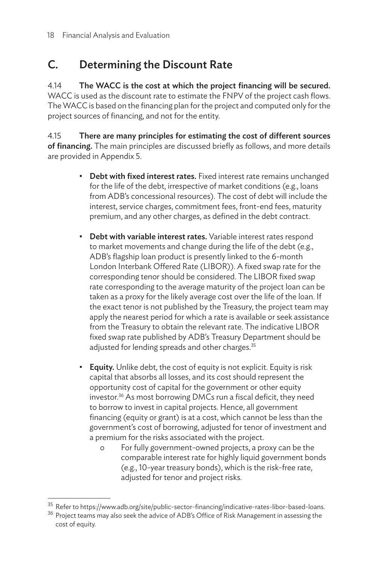## C. Determining the Discount Rate

4.14 The WACC is the cost at which the project financing will be secured. WACC is used as the discount rate to estimate the FNPV of the project cash flows. The WACC is based on the financing plan for the project and computed only for the project sources of financing, and not for the entity.

4.15 There are many principles for estimating the cost of different sources of financing. The main principles are discussed briefly as follows, and more details are provided in Appendix 5.

- Debt with fixed interest rates. Fixed interest rate remains unchanged for the life of the debt, irrespective of market conditions (e.g., loans from ADB's concessional resources). The cost of debt will include the interest, service charges, commitment fees, front-end fees, maturity premium, and any other charges, as defined in the debt contract.
- Debt with variable interest rates. Variable interest rates respond to market movements and change during the life of the debt (e.g., ADB's flagship loan product is presently linked to the 6-month London Interbank Offered Rate (LIBOR)). A fixed swap rate for the corresponding tenor should be considered. The LIBOR fixed swap rate corresponding to the average maturity of the project loan can be taken as a proxy for the likely average cost over the life of the loan. If the exact tenor is not published by the Treasury, the project team may apply the nearest period for which a rate is available or seek assistance from the Treasury to obtain the relevant rate. The indicative LIBOR fixed swap rate published by ADB's Treasury Department should be adjusted for lending spreads and other charges.<sup>35</sup>
- Equity. Unlike debt, the cost of equity is not explicit. Equity is risk capital that absorbs all losses, and its cost should represent the opportunity cost of capital for the government or other equity investor.36 As most borrowing DMCs run a fiscal deficit, they need to borrow to invest in capital projects. Hence, all government financing (equity or grant) is at a cost, which cannot be less than the government's cost of borrowing, adjusted for tenor of investment and a premium for the risks associated with the project.
	- o For fully government-owned projects, a proxy can be the comparable interest rate for highly liquid government bonds (e.g., 10-year treasury bonds), which is the risk-free rate, adjusted for tenor and project risks.

<sup>&</sup>lt;sup>35</sup> Refer to https://www.adb.org/site/public-sector-financing/indicative-rates-libor-based-loans.

<sup>&</sup>lt;sup>36</sup> Project teams may also seek the advice of ADB's Office of Risk Management in assessing the cost of equity.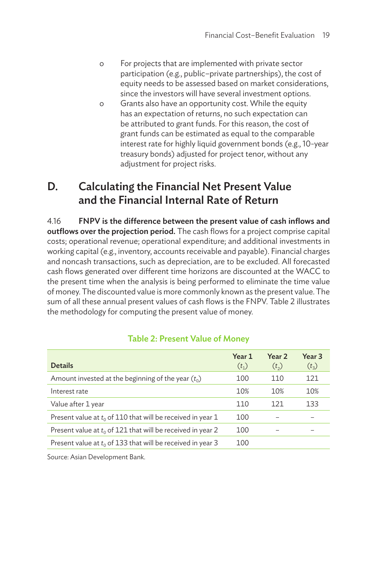- o For projects that are implemented with private sector participation (e.g., public–private partnerships), the cost of equity needs to be assessed based on market considerations, since the investors will have several investment options.
- o Grants also have an opportunity cost. While the equity has an expectation of returns, no such expectation can be attributed to grant funds. For this reason, the cost of grant funds can be estimated as equal to the comparable interest rate for highly liquid government bonds (e.g., 10-year treasury bonds) adjusted for project tenor, without any adjustment for project risks.

### D. Calculating the Financial Net Present Value and the Financial Internal Rate of Return

4.16 FNPV is the difference between the present value of cash inflows and outflows over the projection period. The cash flows for a project comprise capital costs; operational revenue; operational expenditure; and additional investments in working capital (e.g., inventory, accounts receivable and payable). Financial charges and noncash transactions, such as depreciation, are to be excluded. All forecasted cash flows generated over different time horizons are discounted at the WACC to the present time when the analysis is being performed to eliminate the time value of money. The discounted value is more commonly known as the present value. The sum of all these annual present values of cash flows is the FNPV. Table 2 illustrates the methodology for computing the present value of money.

| <b>Details</b>                                                | Year 1<br>$(t_1)$ | Year 2<br>(t <sub>2</sub> ) | Year <sub>3</sub><br>$(t_{3})$ |
|---------------------------------------------------------------|-------------------|-----------------------------|--------------------------------|
| Amount invested at the beginning of the year $(t_0)$          | 100               | 110                         | 121                            |
| Interest rate                                                 | 10%               | 10%                         | 10%                            |
| Value after 1 year                                            | 110               | 121                         | 133                            |
| Present value at $t_0$ of 110 that will be received in year 1 | 100               |                             |                                |
| Present value at $t_0$ of 121 that will be received in year 2 | 100               |                             |                                |
| Present value at $t_0$ of 133 that will be received in year 3 | 100               |                             |                                |
|                                                               |                   |                             |                                |

#### Table 2: Present Value of Money

Source: Asian Development Bank.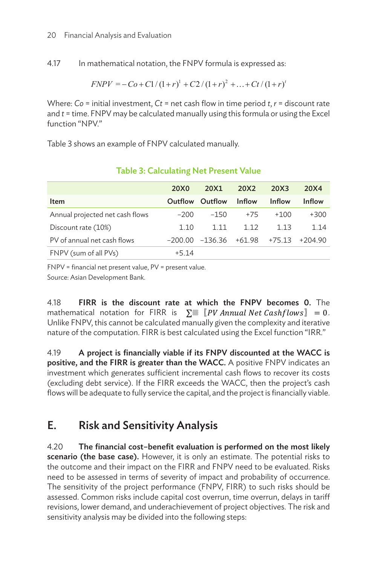4.17 In mathematical notation, the FNPV formula is expressed as: 4.15 In mathematical notation, the FNPV formula is expressed as:

$$
FNPV = -Co + C1/(1+r)^{1} + C2/(1+r)^{2} + ... + Ct/(1+r)^{t}
$$

Where: Co = initial investment, Ct = net cash flow in time period  $t$ ,  $r$  = discount rate where: committed investment, craft increasing manually using this formula or using the Excel and  $t =$  time. FNPV may be calculated manually using this formula or using the Excel function "NPV."

[Table 3](#page-31-0) shows an example of FNPV calculated manually.

|                                 | 20X0    | 20X1            | 20X2          | 20X3          | 20X4                        |
|---------------------------------|---------|-----------------|---------------|---------------|-----------------------------|
| Item                            | Outflow | Outflow         | <b>Inflow</b> | <b>Inflow</b> | <b>Inflow</b>               |
| Annual projected net cash flows | $-200$  | $-150$          | $+75$         | $+100$        | $+300$                      |
| Discount rate (10%)             | 1.10    | 1.11            | 1.12          | 1.13          | 1.14                        |
| PV of annual net cash flows     |         | -200.00 -136.36 |               |               | $+61.98$ $+75.13$ $+204.90$ |
| FNPV (sum of all PVs)           | $+5.14$ |                 |               |               |                             |
|                                 |         |                 |               |               |                             |

### <span id="page-31-0"></span>Table 3: Calculating Net Present Value

FNPV = financial net present value, PV = present value.

Source: Asian Development Bank.

4.18  $\;$  FIRR is the discount rate at which the FNPV becomes 0. The mathematical  $\;$ mathematical notation for FIRR is  $\,\,\Sigma^{\equiv}\,\,\llbracket\, PV\, Annual\,Net\,Cashflows\,]\,\,\, = 0$ . Unlike FNPV, this cannot be calculated manually given the complexity and iterative nature of the computation. FIRR is best calculated using the Excel function "IRR."

4.19 A project is financially viable if its FNPV discounted at the WACC is positive, and the FIRR is greater than the WACC. A positive  $FNPV$  indicates an .<br>investment which generates sufficient incremental cash flows to recover its costs (excluding debt service). If the FIRR exceeds the WACC, then the project's cash flows will be adequate to fully service the capital, and the project is financially viable.

#### E. Risk and Sensitivity Analysis **Risks need to be a**  $\ldots$  of  $\ldots$   $\ldots$   $\ldots$   $\ldots$   $\ldots$   $\ldots$   $\ldots$   $\ldots$   $\ldots$   $\ldots$   $\ldots$   $\ldots$   $\ldots$   $\ldots$   $\ldots$   $\ldots$   $\ldots$   $\ldots$   $\ldots$   $\ldots$   $\ldots$   $\ldots$   $\ldots$   $\ldots$   $\ldots$   $\ldots$   $\ldots$   $\ldots$   $\ldots$   $\ldots$   $\ldots$   $\ldots$   $\ldots$   $\ldots$   $\ldots$   $\$

4.20 The financial cost-benefit evaluation is performed on the most likely scenario (the base case). However, it is only an estimate. The potential risks to the outcome and their impact on the FIRR and FNPV need to be evaluated. Risks need to be assessed in terms of severity of impact and probability of occurrence. The sensitivity of the project performance (FNPV, FIRR) to such risks should be assessed. Common risks include capital cost overrun, time overrun, delays in tariff revisions, lower demand, and underachievement of project objectives. The risk and sensitivity analysis may be divided into the following steps: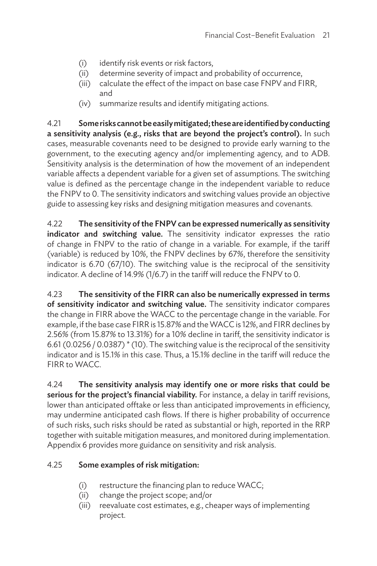- (i) identify risk events or risk factors,
- (ii) determine severity of impact and probability of occurrence,
- (iii) calculate the effect of the impact on base case FNPV and FIRR, and
- (iv) summarize results and identify mitigating actions.

4.21 Some risks cannot be easily mitigated; these are identified by conducting a sensitivity analysis (e.g., risks that are beyond the project's control). In such cases, measurable covenants need to be designed to provide early warning to the government, to the executing agency and/or implementing agency, and to ADB. Sensitivity analysis is the determination of how the movement of an independent variable affects a dependent variable for a given set of assumptions. The switching value is defined as the percentage change in the independent variable to reduce the FNPV to 0. The sensitivity indicators and switching values provide an objective guide to assessing key risks and designing mitigation measures and covenants.

4.22 The sensitivity of the FNPV can be expressed numerically as sensitivity indicator and switching value. The sensitivity indicator expresses the ratio of change in FNPV to the ratio of change in a variable. For example, if the tariff (variable) is reduced by 10%, the FNPV declines by 67%, therefore the sensitivity indicator is 6.70 (67/10). The switching value is the reciprocal of the sensitivity indicator. A decline of 14.9% (1/6.7) in the tariff will reduce the FNPV to 0.

4.23 The sensitivity of the FIRR can also be numerically expressed in terms of sensitivity indicator and switching value. The sensitivity indicator compares the change in FIRR above the WACC to the percentage change in the variable. For example, if the base case FIRR is 15.87% and the WACC is 12%, and FIRR declines by 2.56% (from 15.87% to 13.31%) for a 10% decline in tariff, the sensitivity indicator is 6.61 (0.0256 / 0.0387) \* (10). The switching value is the reciprocal of the sensitivity indicator and is 15.1% in this case. Thus, a 15.1% decline in the tariff will reduce the FIRR to WACC.

4.24 The sensitivity analysis may identify one or more risks that could be serious for the project's financial viability. For instance, a delay in tariff revisions, lower than anticipated offtake or less than anticipated improvements in efficiency, may undermine anticipated cash flows. If there is higher probability of occurrence of such risks, such risks should be rated as substantial or high, reported in the RRP together with suitable mitigation measures, and monitored during implementation. Appendix 6 provides more guidance on sensitivity and risk analysis.

#### 4.25 Some examples of risk mitigation:

- (i) restructure the financing plan to reduce WACC;
- (ii) change the project scope; and/or
- (iii) reevaluate cost estimates, e.g., cheaper ways of implementing project.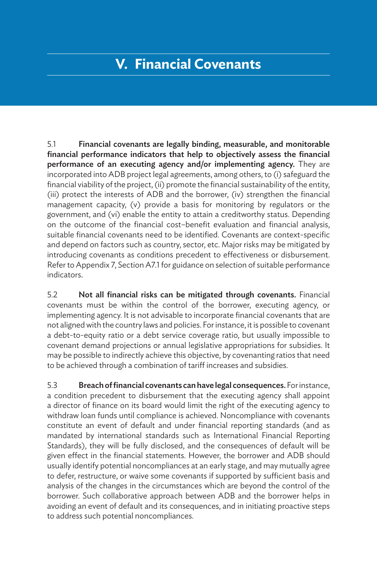## **V. Financial Covenants**

5.1 Financial covenants are legally binding, measurable, and monitorable financial performance indicators that help to objectively assess the financial performance of an executing agency and/or implementing agency. They are incorporated into ADB project legal agreements, among others, to (i) safeguard the financial viability of the project, (ii) promote the financial sustainability of the entity, (iii) protect the interests of ADB and the borrower, (iv) strengthen the financial management capacity, (v) provide a basis for monitoring by regulators or the government, and (vi) enable the entity to attain a creditworthy status. Depending on the outcome of the financial cost–benefit evaluation and financial analysis, suitable financial covenants need to be identified. Covenants are context-specific and depend on factors such as country, sector, etc. Major risks may be mitigated by introducing covenants as conditions precedent to effectiveness or disbursement. Refer to Appendix 7, Section A7.1 for guidance on selection of suitable performance indicators.

5.2 Not all financial risks can be mitigated through covenants. Financial covenants must be within the control of the borrower, executing agency, or implementing agency. It is not advisable to incorporate financial covenants that are not aligned with the country laws and policies. For instance, it is possible to covenant a debt-to-equity ratio or a debt service coverage ratio, but usually impossible to covenant demand projections or annual legislative appropriations for subsidies. It may be possible to indirectly achieve this objective, by covenanting ratios that need to be achieved through a combination of tariff increases and subsidies.

5.3 Breach of financial covenants can have legal consequences. For instance, a condition precedent to disbursement that the executing agency shall appoint a director of finance on its board would limit the right of the executing agency to withdraw loan funds until compliance is achieved. Noncompliance with covenants constitute an event of default and under financial reporting standards (and as mandated by international standards such as International Financial Reporting Standards), they will be fully disclosed, and the consequences of default will be given effect in the financial statements. However, the borrower and ADB should usually identify potential noncompliances at an early stage, and may mutually agree to defer, restructure, or waive some covenants if supported by sufficient basis and analysis of the changes in the circumstances which are beyond the control of the borrower. Such collaborative approach between ADB and the borrower helps in avoiding an event of default and its consequences, and in initiating proactive steps to address such potential noncompliances.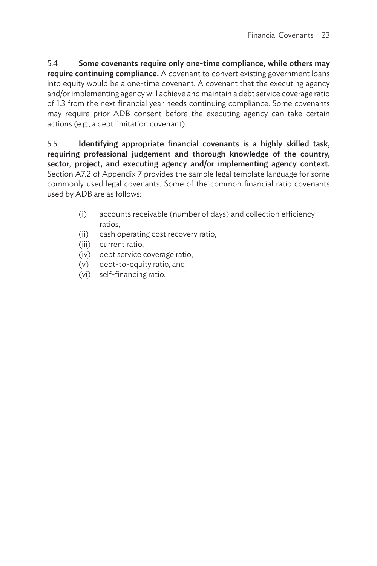5.4 Some covenants require only one-time compliance, while others may require continuing compliance. A covenant to convert existing government loans into equity would be a one-time covenant. A covenant that the executing agency and/or implementing agency will achieve and maintain a debt service coverage ratio of 1.3 from the next financial year needs continuing compliance. Some covenants may require prior ADB consent before the executing agency can take certain actions (e.g., a debt limitation covenant).

5.5 Identifying appropriate financial covenants is a highly skilled task, requiring professional judgement and thorough knowledge of the country, sector, project, and executing agency and/or implementing agency context. Section A7.2 of Appendix 7 provides the sample legal template language for some commonly used legal covenants. Some of the common financial ratio covenants used by ADB are as follows:

- (i) accounts receivable (number of days) and collection efficiency ratios,
- (ii) cash operating cost recovery ratio,
- (iii) current ratio,
- (iv) debt service coverage ratio,
- (v) debt-to-equity ratio, and
- (vi) self-financing ratio.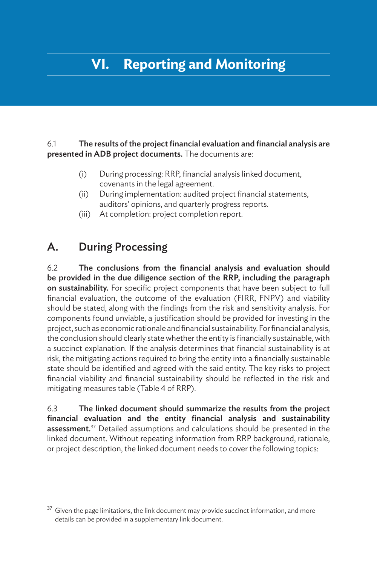## **VI. Reporting and Monitoring**

#### 6.1 The results of the project financial evaluation and financial analysis are presented in ADB project documents. The documents are:

- (i) During processing: RRP, financial analysis linked document, covenants in the legal agreement.
- (ii) During implementation: audited project financial statements, auditors' opinions, and quarterly progress reports.
- (iii) At completion: project completion report.

### A. During Processing

6.2 The conclusions from the financial analysis and evaluation should be provided in the due diligence section of the RRP, including the paragraph on sustainability. For specific project components that have been subject to full financial evaluation, the outcome of the evaluation (FIRR, FNPV) and viability should be stated, along with the findings from the risk and sensitivity analysis. For components found unviable, a justification should be provided for investing in the project, such as economic rationale and financial sustainability. For financial analysis, the conclusion should clearly state whether the entity is financially sustainable, with a succinct explanation. If the analysis determines that financial sustainability is at risk, the mitigating actions required to bring the entity into a financially sustainable state should be identified and agreed with the said entity. The key risks to project financial viability and financial sustainability should be reflected in the risk and mitigating measures table (Table 4 of RRP).

6.3 The linked document should summarize the results from the project financial evaluation and the entity financial analysis and sustainability assessment.<sup>37</sup> Detailed assumptions and calculations should be presented in the linked document. Without repeating information from RRP background, rationale, or project description, the linked document needs to cover the following topics:

 $37$  Given the page limitations, the link document may provide succinct information, and more details can be provided in a supplementary link document.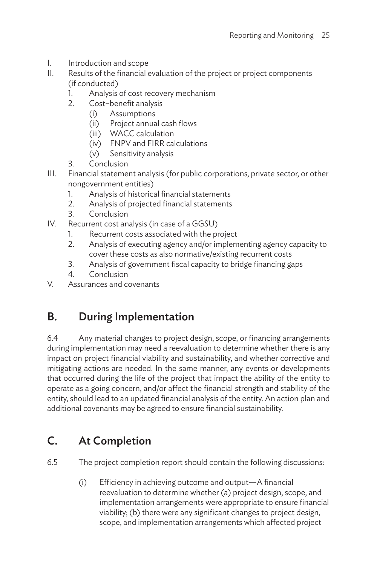- I. Introduction and scope
- II. Results of the financial evaluation of the project or project components (if conducted)
	- 1. Analysis of cost recovery mechanism
	- 2. Cost–benefit analysis
		- (i) Assumptions
		- (ii) Project annual cash flows
		- (iii) WACC calculation
		- (iv) FNPV and FIRR calculations
		- (v) Sensitivity analysis
	- 3. Conclusion
- III. Financial statement analysis (for public corporations, private sector, or other nongovernment entities)
	- 1. Analysis of historical financial statements
	- 2. Analysis of projected financial statements
	- 3. Conclusion
- IV. Recurrent cost analysis (in case of a GGSU)
	- 1. Recurrent costs associated with the project
	- 2. Analysis of executing agency and/or implementing agency capacity to cover these costs as also normative/existing recurrent costs
	- 3. Analysis of government fiscal capacity to bridge financing gaps
	- 4. Conclusion
- V. Assurances and covenants

## B. During Implementation

6.4 Any material changes to project design, scope, or financing arrangements during implementation may need a reevaluation to determine whether there is any impact on project financial viability and sustainability, and whether corrective and mitigating actions are needed. In the same manner, any events or developments that occurred during the life of the project that impact the ability of the entity to operate as a going concern, and/or affect the financial strength and stability of the entity, should lead to an updated financial analysis of the entity. An action plan and additional covenants may be agreed to ensure financial sustainability.

## C. At Completion

6.5 The project completion report should contain the following discussions:

(i) Efficiency in achieving outcome and output—A financial reevaluation to determine whether (a) project design, scope, and implementation arrangements were appropriate to ensure financial viability; (b) there were any significant changes to project design, scope, and implementation arrangements which affected project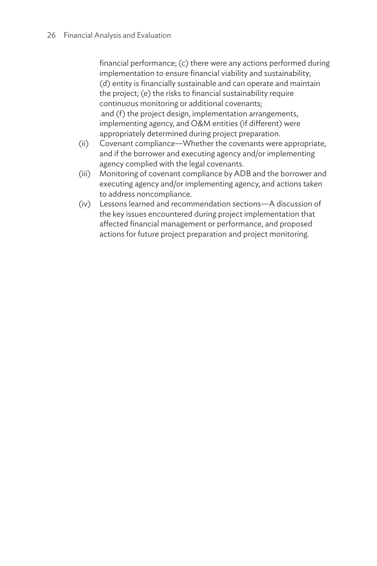financial performance; (c) there were any actions performed during implementation to ensure financial viability and sustainability; (d) entity is financially sustainable and can operate and maintain the project; (e) the risks to financial sustainability require continuous monitoring or additional covenants; and (f) the project design, implementation arrangements, implementing agency, and O&M entities (if different) were appropriately determined during project preparation.

- (ii) Covenant compliance—Whether the covenants were appropriate, and if the borrower and executing agency and/or implementing agency complied with the legal covenants.
- (iii) Monitoring of covenant compliance by ADB and the borrower and executing agency and/or implementing agency, and actions taken to address noncompliance.
- (iv) Lessons learned and recommendation sections—A discussion of the key issues encountered during project implementation that affected financial management or performance, and proposed actions for future project preparation and project monitoring.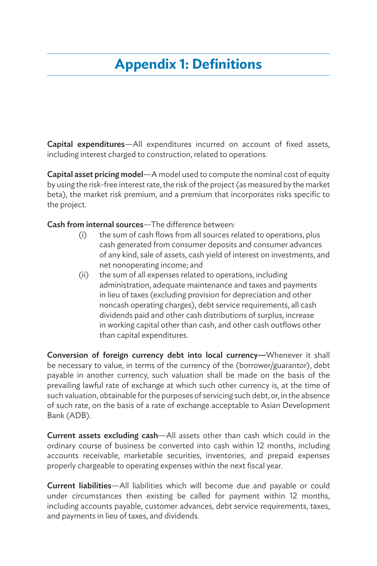## **Appendix 1: Definitions**

Capital expenditures—All expenditures incurred on account of fixed assets, including interest charged to construction, related to operations.

Capital asset pricing model—A model used to compute the nominal cost of equity by using the risk-free interest rate, the risk of the project (as measured by the market beta), the market risk premium, and a premium that incorporates risks specific to the project.

Cash from internal sources—The difference between:

- (i) the sum of cash flows from all sources related to operations, plus cash generated from consumer deposits and consumer advances of any kind, sale of assets, cash yield of interest on investments, and net nonoperating income; and
- (ii) the sum of all expenses related to operations, including administration, adequate maintenance and taxes and payments in lieu of taxes (excluding provision for depreciation and other noncash operating charges), debt service requirements, all cash dividends paid and other cash distributions of surplus, increase in working capital other than cash, and other cash outflows other than capital expenditures.

Conversion of foreign currency debt into local currency—Whenever it shall be necessary to value, in terms of the currency of the (borrower/guarantor), debt payable in another currency, such valuation shall be made on the basis of the prevailing lawful rate of exchange at which such other currency is, at the time of such valuation, obtainable for the purposes of servicing such debt, or, in the absence of such rate, on the basis of a rate of exchange acceptable to Asian Development Bank (ADB).

Current assets excluding cash—All assets other than cash which could in the ordinary course of business be converted into cash within 12 months, including accounts receivable, marketable securities, inventories, and prepaid expenses properly chargeable to operating expenses within the next fiscal year.

Current liabilities—All liabilities which will become due and payable or could under circumstances then existing be called for payment within 12 months, including accounts payable, customer advances, debt service requirements, taxes, and payments in lieu of taxes, and dividends.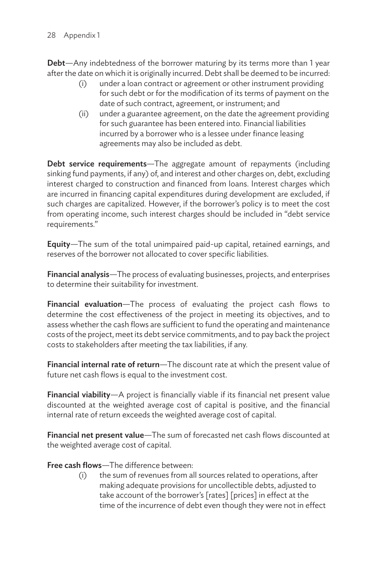Debt—Any indebtedness of the borrower maturing by its terms more than 1 year after the date on which it is originally incurred. Debt shall be deemed to be incurred:

- (i) under a loan contract or agreement or other instrument providing for such debt or for the modification of its terms of payment on the date of such contract, agreement, or instrument; and
- (ii) under a guarantee agreement, on the date the agreement providing for such guarantee has been entered into. Financial liabilities incurred by a borrower who is a lessee under finance leasing agreements may also be included as debt.

Debt service requirements—The aggregate amount of repayments (including sinking fund payments, if any) of, and interest and other charges on, debt, excluding interest charged to construction and financed from loans. Interest charges which are incurred in financing capital expenditures during development are excluded, if such charges are capitalized. However, if the borrower's policy is to meet the cost from operating income, such interest charges should be included in "debt service requirements."

Equity—The sum of the total unimpaired paid-up capital, retained earnings, and reserves of the borrower not allocated to cover specific liabilities.

Financial analysis—The process of evaluating businesses, projects, and enterprises to determine their suitability for investment.

Financial evaluation—The process of evaluating the project cash flows to determine the cost effectiveness of the project in meeting its objectives, and to assess whether the cash flows are sufficient to fund the operating and maintenance costs of the project, meet its debt service commitments, and to pay back the project costs to stakeholders after meeting the tax liabilities, if any.

Financial internal rate of return—The discount rate at which the present value of future net cash flows is equal to the investment cost.

Financial viability—A project is financially viable if its financial net present value discounted at the weighted average cost of capital is positive, and the financial internal rate of return exceeds the weighted average cost of capital.

Financial net present value—The sum of forecasted net cash flows discounted at the weighted average cost of capital.

Free cash flows—The difference between:

(i) the sum of revenues from all sources related to operations, after making adequate provisions for uncollectible debts, adjusted to take account of the borrower's [rates] [prices] in effect at the time of the incurrence of debt even though they were not in effect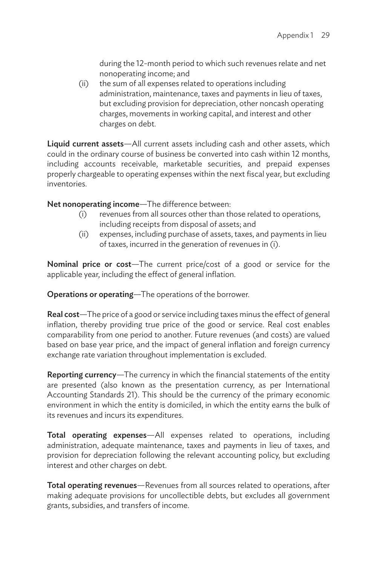during the 12-month period to which such revenues relate and net nonoperating income; and

(ii) the sum of all expenses related to operations including administration, maintenance, taxes and payments in lieu of taxes, but excluding provision for depreciation, other noncash operating charges, movements in working capital, and interest and other charges on debt.

Liquid current assets-All current assets including cash and other assets, which could in the ordinary course of business be converted into cash within 12 months, including accounts receivable, marketable securities, and prepaid expenses properly chargeable to operating expenses within the next fiscal year, but excluding inventories.

Net nonoperating income—The difference between:

- (i) revenues from all sources other than those related to operations, including receipts from disposal of assets; and
- (ii) expenses, including purchase of assets, taxes, and payments in lieu of taxes, incurred in the generation of revenues in (i).

Nominal price or cost-The current price/cost of a good or service for the applicable year, including the effect of general inflation.

Operations or operating—The operations of the borrower.

Real cost—The price of a good or service including taxes minus the effect of general inflation, thereby providing true price of the good or service. Real cost enables comparability from one period to another. Future revenues (and costs) are valued based on base year price, and the impact of general inflation and foreign currency exchange rate variation throughout implementation is excluded.

Reporting currency—The currency in which the financial statements of the entity are presented (also known as the presentation currency, as per International Accounting Standards 21). This should be the currency of the primary economic environment in which the entity is domiciled, in which the entity earns the bulk of its revenues and incurs its expenditures.

Total operating expenses—All expenses related to operations, including administration, adequate maintenance, taxes and payments in lieu of taxes, and provision for depreciation following the relevant accounting policy, but excluding interest and other charges on debt.

Total operating revenues—Revenues from all sources related to operations, after making adequate provisions for uncollectible debts, but excludes all government grants, subsidies, and transfers of income.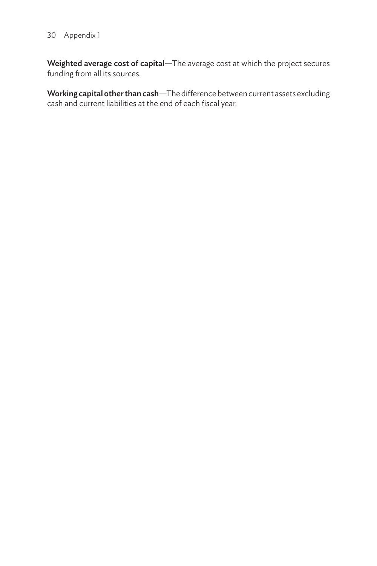#### 30 Appendix 1

Weighted average cost of capital—The average cost at which the project secures funding from all its sources.

Working capital other than cash—The difference between current assets excluding cash and current liabilities at the end of each fiscal year.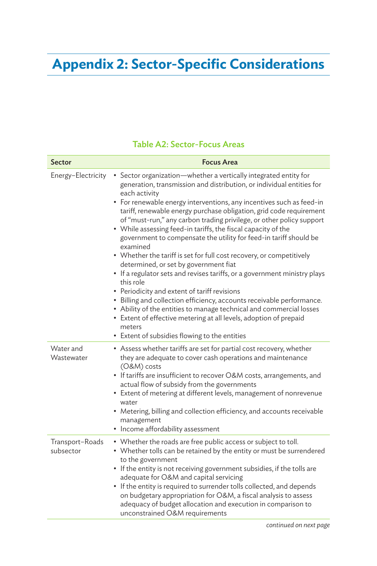## **Appendix 2: Sector-Specific Considerations**

### Table A2: Sector-Focus Areas

| Sector                       | <b>Focus Area</b>                                                                                                                                                                                                                                                                                                                                                                                                                                                                                                                                                                                                                                                                                                                                                                                                                                                                                                                                                                                                                                                              |
|------------------------------|--------------------------------------------------------------------------------------------------------------------------------------------------------------------------------------------------------------------------------------------------------------------------------------------------------------------------------------------------------------------------------------------------------------------------------------------------------------------------------------------------------------------------------------------------------------------------------------------------------------------------------------------------------------------------------------------------------------------------------------------------------------------------------------------------------------------------------------------------------------------------------------------------------------------------------------------------------------------------------------------------------------------------------------------------------------------------------|
| Energy-Electricity           | • Sector organization-whether a vertically integrated entity for<br>generation, transmission and distribution, or individual entities for<br>each activity<br>• For renewable energy interventions, any incentives such as feed-in<br>tariff, renewable energy purchase obligation, grid code requirement<br>of "must-run," any carbon trading privilege, or other policy support<br>• While assessing feed-in tariffs, the fiscal capacity of the<br>government to compensate the utility for feed-in tariff should be<br>examined<br>• Whether the tariff is set for full cost recovery, or competitively<br>determined, or set by government fiat<br>• If a regulator sets and revises tariffs, or a government ministry plays<br>this role<br>• Periodicity and extent of tariff revisions<br>· Billing and collection efficiency, accounts receivable performance.<br>• Ability of the entities to manage technical and commercial losses<br>• Extent of effective metering at all levels, adoption of prepaid<br>meters<br>• Extent of subsidies flowing to the entities |
| Water and<br>Wastewater      | • Assess whether tariffs are set for partial cost recovery, whether<br>they are adequate to cover cash operations and maintenance<br>(O&M) costs<br>• If tariffs are insufficient to recover O&M costs, arrangements, and<br>actual flow of subsidy from the governments<br>• Extent of metering at different levels, management of nonrevenue<br>water<br>• Metering, billing and collection efficiency, and accounts receivable<br>management<br>• Income affordability assessment                                                                                                                                                                                                                                                                                                                                                                                                                                                                                                                                                                                           |
| Transport-Roads<br>subsector | • Whether the roads are free public access or subject to toll.<br>• Whether tolls can be retained by the entity or must be surrendered<br>to the government<br>• If the entity is not receiving government subsidies, if the tolls are<br>adequate for O&M and capital servicing<br>• If the entity is required to surrender tolls collected, and depends<br>on budgetary appropriation for O&M, a fiscal analysis to assess<br>adequacy of budget allocation and execution in comparison to<br>unconstrained O&M requirements                                                                                                                                                                                                                                                                                                                                                                                                                                                                                                                                                 |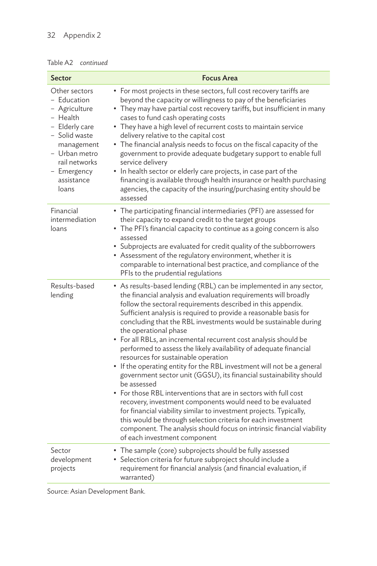#### 32 Appendix 2

#### Table A2 *continued*

| <b>Sector</b>                                                                                                                                                                      | <b>Focus Area</b>                                                                                                                                                                                                                                                                                                                                                                                                                                                                                                                                                                                                                                                                                                                                                                                                                                                                                                                                                                                                                                                                                      |
|------------------------------------------------------------------------------------------------------------------------------------------------------------------------------------|--------------------------------------------------------------------------------------------------------------------------------------------------------------------------------------------------------------------------------------------------------------------------------------------------------------------------------------------------------------------------------------------------------------------------------------------------------------------------------------------------------------------------------------------------------------------------------------------------------------------------------------------------------------------------------------------------------------------------------------------------------------------------------------------------------------------------------------------------------------------------------------------------------------------------------------------------------------------------------------------------------------------------------------------------------------------------------------------------------|
| Other sectors<br>- Education<br>- Agriculture<br>- Health<br>- Elderly care<br>- Solid waste<br>management<br>- Urban metro<br>rail networks<br>- Emergency<br>assistance<br>loans | • For most projects in these sectors, full cost recovery tariffs are<br>beyond the capacity or willingness to pay of the beneficiaries<br>• They may have partial cost recovery tariffs, but insufficient in many<br>cases to fund cash operating costs<br>• They have a high level of recurrent costs to maintain service<br>delivery relative to the capital cost<br>• The financial analysis needs to focus on the fiscal capacity of the<br>government to provide adequate budgetary support to enable full<br>service delivery<br>• In health sector or elderly care projects, in case part of the<br>financing is available through health insurance or health purchasing<br>agencies, the capacity of the insuring/purchasing entity should be<br>assessed                                                                                                                                                                                                                                                                                                                                      |
| Financial<br>intermediation<br>loans                                                                                                                                               | • The participating financial intermediaries (PFI) are assessed for<br>their capacity to expand credit to the target groups<br>• The PFI's financial capacity to continue as a going concern is also<br>assessed<br>• Subprojects are evaluated for credit quality of the subborrowers<br>• Assessment of the regulatory environment, whether it is<br>comparable to international best practice, and compliance of the<br>PFIs to the prudential regulations                                                                                                                                                                                                                                                                                                                                                                                                                                                                                                                                                                                                                                          |
| Results-based<br>lending                                                                                                                                                           | • As results-based lending (RBL) can be implemented in any sector,<br>the financial analysis and evaluation requirements will broadly<br>follow the sectoral requirements described in this appendix.<br>Sufficient analysis is required to provide a reasonable basis for<br>concluding that the RBL investments would be sustainable during<br>the operational phase<br>• For all RBLs, an incremental recurrent cost analysis should be<br>performed to assess the likely availability of adequate financial<br>resources for sustainable operation<br>• If the operating entity for the RBL investment will not be a general<br>government sector unit (GGSU), its financial sustainability should<br>be assessed<br>• For those RBL interventions that are in sectors with full cost<br>recovery, investment components would need to be evaluated<br>for financial viability similar to investment projects. Typically,<br>this would be through selection criteria for each investment<br>component. The analysis should focus on intrinsic financial viability<br>of each investment component |
| Sector<br>development<br>projects                                                                                                                                                  | • The sample (core) subprojects should be fully assessed<br>• Selection criteria for future subproject should include a<br>requirement for financial analysis (and financial evaluation, if<br>warranted)                                                                                                                                                                                                                                                                                                                                                                                                                                                                                                                                                                                                                                                                                                                                                                                                                                                                                              |

Source: Asian Development Bank.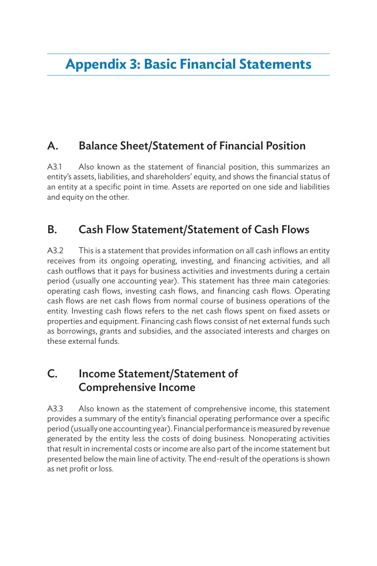### A. Balance Sheet/Statement of Financial Position

A3.1 Also known as the statement of financial position, this summarizes an entity's assets, liabilities, and shareholders' equity, and shows the financial status of an entity at a specific point in time. Assets are reported on one side and liabilities and equity on the other.

### B. Cash Flow Statement/Statement of Cash Flows

A3.2 This is a statement that provides information on all cash inflows an entity receives from its ongoing operating, investing, and financing activities, and all cash outflows that it pays for business activities and investments during a certain period (usually one accounting year). This statement has three main categories: operating cash flows, investing cash flows, and financing cash flows. Operating cash flows are net cash flows from normal course of business operations of the entity. Investing cash flows refers to the net cash flows spent on fixed assets or properties and equipment. Financing cash flows consist of net external funds such as borrowings, grants and subsidies, and the associated interests and charges on these external funds.

### C. Income Statement/Statement of Comprehensive Income

A3.3 Also known as the statement of comprehensive income, this statement provides a summary of the entity's financial operating performance over a specific period (usually one accounting year). Financial performance is measured by revenue generated by the entity less the costs of doing business. Nonoperating activities that result in incremental costs or income are also part of the income statement but presented below the main line of activity. The end-result of the operations is shown as net profit or loss.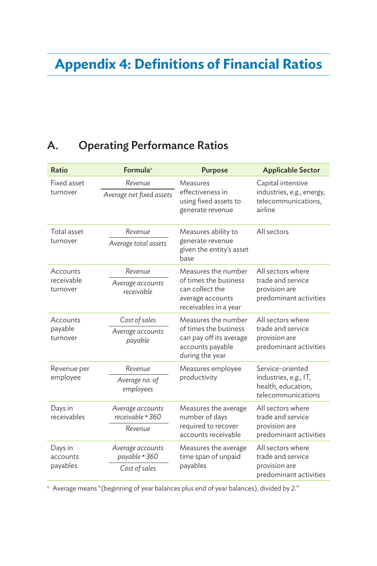## **Appendix 4: Definitions of Financial Ratios**

## A. Operating Performance Ratios

| Ratio                              | Formula <sup>a</sup>                               | <b>Purpose</b>                                                                                                 | <b>Applicable Sector</b>                                                              |
|------------------------------------|----------------------------------------------------|----------------------------------------------------------------------------------------------------------------|---------------------------------------------------------------------------------------|
| Fixed asset<br>turnover            | Revenue<br>Average net fixed assets                | Measures<br>effectiveness in<br>using fixed assets to<br>generate revenue                                      | Capital intensive<br>industries, e.g., energy,<br>telecommunications,<br>airline      |
| Total asset<br>turnover            | Revenue<br>Average total assets                    | Measures ability to<br>generate revenue<br>given the entity's asset<br>base                                    | All sectors                                                                           |
| Accounts<br>receivable<br>turnover | Revenue<br>Average accounts<br>receivable          | Measures the number<br>of times the business<br>can collect the<br>average accounts<br>receivables in a year   | All sectors where<br>trade and service<br>provision are<br>predominant activities     |
| Accounts<br>payable<br>turnover    | Cost of sales<br>Average accounts<br>payable       | Measures the number<br>of times the business<br>can pay off its average<br>accounts payable<br>during the year | All sectors where<br>trade and service<br>provision are<br>predominant activities     |
| Revenue per<br>employee            | Revenue<br>Average no. of<br>employees             | Measures employee<br>productivity                                                                              | Service-oriented<br>industries, e.g., IT,<br>health, education,<br>telecommunications |
| Days in<br>receivables             | Average accounts<br>receivable * 360<br>Revenue    | Measures the average<br>number of days<br>required to recover<br>accounts receivable                           | All sectors where<br>trade and service<br>provision are<br>predominant activities     |
| Days in<br>accounts<br>payables    | Average accounts<br>payable * 360<br>Cost of sales | Measures the average<br>time span of unpaid<br>payables                                                        | All sectors where<br>trade and service<br>provision are<br>predominant activities     |

a Average means "(beginning of year balances plus end of year balances), divided by 2."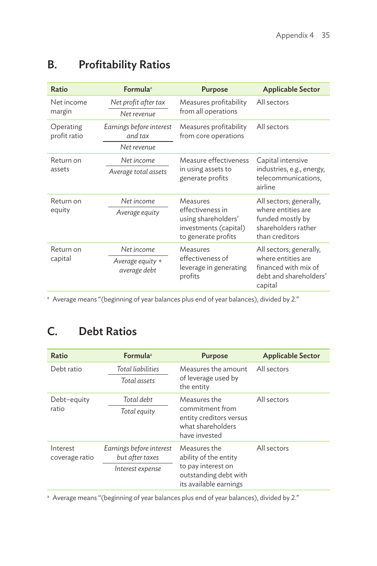| Ratio                     | <b>Formula</b> <sup>a</sup>                        | <b>Purpose</b>                                                                                      | <b>Applicable Sector</b>                                                                                   |
|---------------------------|----------------------------------------------------|-----------------------------------------------------------------------------------------------------|------------------------------------------------------------------------------------------------------------|
| Net income<br>margin      | Net profit after tax<br>Net revenue                | Measures profitability<br>from all operations                                                       | All sectors                                                                                                |
| Operating<br>profit ratio | Earnings before interest<br>and tax<br>Net revenue | Measures profitability<br>from core operations                                                      | All sectors                                                                                                |
| Return on<br>assets       | Net income<br>Average total assets                 | Measure effectiveness<br>in using assets to<br>generate profits                                     | Capital intensive<br>industries, e.g., energy,<br>telecommunications,<br>airline                           |
| Return on<br>equity       | Net income<br>Average equity                       | Measures<br>effectiveness in<br>using shareholders'<br>investments (capital)<br>to generate profits | All sectors; generally,<br>where entities are<br>funded mostly by<br>shareholders rather<br>than creditors |
| Return on<br>capital      | Net income<br>Average equity +<br>average debt     | Measures<br>effectiveness of<br>leverage in generating<br>profits                                   | All sectors; generally,<br>where entities are<br>financed with mix of<br>debt and shareholders'<br>capital |

## B. Profitability Ratios

<sup>a</sup> Average means "(beginning of year balances plus end of year balances), divided by 2."

## C. Debt Ratios

| Ratio                      | <b>Formula</b> <sup>a</sup>                                     | <b>Purpose</b>                                                                                                 | <b>Applicable Sector</b> |
|----------------------------|-----------------------------------------------------------------|----------------------------------------------------------------------------------------------------------------|--------------------------|
| Debt ratio                 | Total liabilities<br>Total assets                               | Measures the amount<br>of leverage used by<br>the entity                                                       | All sectors              |
| Debt-equity<br>ratio       | Total debt<br>Total equity                                      | Measures the<br>commitment from<br>entity creditors versus<br>what shareholders<br>have invested               | All sectors              |
| Interest<br>coverage ratio | Earnings before interest<br>but after taxes<br>Interest expense | Measures the<br>ability of the entity<br>to pay interest on<br>outstanding debt with<br>its available earnings | All sectors              |

a Average means "(beginning of year balances plus end of year balances), divided by 2."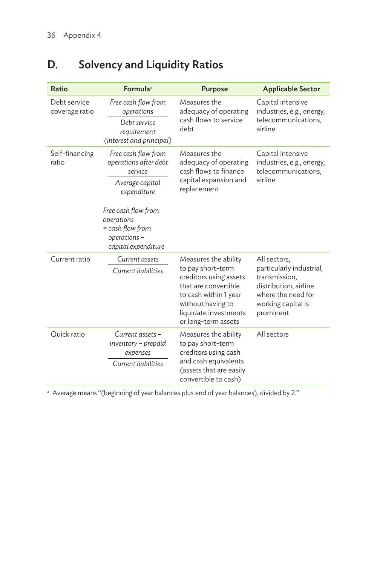| Ratio                          | Formula <sup>a</sup>                                                                                             | <b>Purpose</b>                                                                                                                                                                            | <b>Applicable Sector</b>                                                                                                                    |
|--------------------------------|------------------------------------------------------------------------------------------------------------------|-------------------------------------------------------------------------------------------------------------------------------------------------------------------------------------------|---------------------------------------------------------------------------------------------------------------------------------------------|
| Debt service<br>coverage ratio | Free cash flow from<br>operations<br>Debt service<br>requirement<br>(interest and principal)                     | Measures the<br>adequacy of operating<br>cash flows to service<br>debt                                                                                                                    | Capital intensive<br>industries, e.g., energy,<br>telecommunications,<br>airline                                                            |
| Self-financing<br>ratio        | Free cash flow from<br>operations after debt<br>service<br>Average capital<br>expenditure<br>Free cash flow from | Measures the<br>adequacy of operating<br>cash flows to finance<br>capital expansion and<br>replacement                                                                                    | Capital intensive<br>industries, e.g., energy,<br>telecommunications,<br>airline                                                            |
|                                | operations<br>= cash flow from<br>operations-<br>capital expenditure                                             |                                                                                                                                                                                           |                                                                                                                                             |
| Current ratio                  | Current assets<br>Current liabilities                                                                            | Measures the ability<br>to pay short-term<br>creditors using assets<br>that are convertible<br>to cash within 1 year<br>without having to<br>liquidate investments<br>or long-term assets | All sectors,<br>particularly industrial,<br>transmission,<br>distribution, airline<br>where the need for<br>working capital is<br>prominent |
| Quick ratio                    | Current assets –<br>inventory – prepaid<br>expenses<br>Current liabilities                                       | Measures the ability<br>to pay short-term<br>creditors using cash<br>and cash equivalents<br>(assets that are easily<br>convertible to cash)                                              | All sectors                                                                                                                                 |

## D. Solvency and Liquidity Ratios

a Average means "(beginning of year balances plus end of year balances), divided by 2."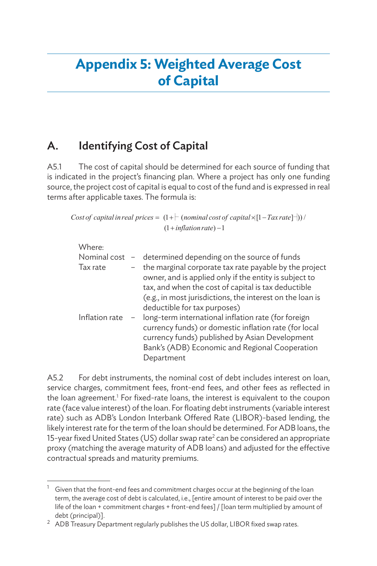## **Appendix 5: Weighted Average Cost of Capital**

## A. Identifying Cost of Capital

A5.1 The cost of capital should be determined for each source of funding that is indicated in the project's financing plan. Where a project has only one funding source, the project cost of capital is equal to cost of the fund and is expressed in real terms after applicable taxes. The formula is:

Cost of capital in real prices =  $(1+|$  (nominal cost of capital  $\times$ [1 - Tax rate]-|))/  $(1 + inflation rate) - 1$ 

| Where:         |                                                                                                                                                                                                                                                                      |
|----------------|----------------------------------------------------------------------------------------------------------------------------------------------------------------------------------------------------------------------------------------------------------------------|
|                | Nominal cost $-$ determined depending on the source of funds                                                                                                                                                                                                         |
| Tax rate       | the marginal corporate tax rate payable by the project<br>owner, and is applied only if the entity is subject to<br>tax, and when the cost of capital is tax deductible<br>(e.g., in most jurisdictions, the interest on the loan is<br>deductible for tax purposes) |
| Inflation rate | long-term international inflation rate (for foreign<br>currency funds) or domestic inflation rate (for local<br>currency funds) published by Asian Development<br>Bank's (ADB) Economic and Regional Cooperation<br>Department                                       |

A5.2 For debt instruments, the nominal cost of debt includes interest on loan, service charges, commitment fees, front-end fees, and other fees as reflected in the loan agreement.<sup>1</sup> For fixed-rate loans, the interest is equivalent to the coupon rate (face value interest) of the loan. For floating debt instruments (variable interest rate) such as ADB's London Interbank Offered Rate (LIBOR)-based lending, the likely interest rate for the term of the loan should be determined. For ADB loans, the 15-year fixed United States (US) dollar swap rate<sup>2</sup> can be considered an appropriate proxy (matching the average maturity of ADB loans) and adjusted for the effective contractual spreads and maturity premiums.

Given that the front-end fees and commitment charges occur at the beginning of the loan term, the average cost of debt is calculated, i.e., [entire amount of interest to be paid over the life of the loan + commitment charges + front-end fees] / [loan term multiplied by amount of debt (principal)].

 $2$  ADB Treasury Department regularly publishes the US dollar, LIBOR fixed swap rates.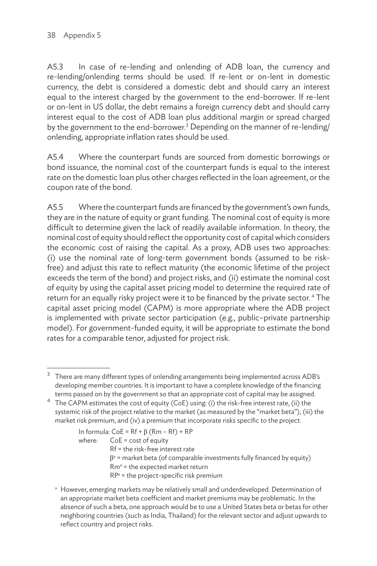A5.3 In case of re-lending and onlending of ADB loan, the currency and re-lending/onlending terms should be used. If re-lent or on-lent in domestic currency, the debt is considered a domestic debt and should carry an interest equal to the interest charged by the government to the end-borrower. If re-lent or on-lent in US dollar, the debt remains a foreign currency debt and should carry interest equal to the cost of ADB loan plus additional margin or spread charged by the government to the end-borrower.<sup>3</sup> Depending on the manner of re-lending/ onlending, appropriate inflation rates should be used.

A5.4 Where the counterpart funds are sourced from domestic borrowings or bond issuance, the nominal cost of the counterpart funds is equal to the interest rate on the domestic loan plus other charges reflected in the loan agreement, or the coupon rate of the bond.

A5.5 Where the counterpart funds are financed by the government's own funds, they are in the nature of equity or grant funding. The nominal cost of equity is more difficult to determine given the lack of readily available information. In theory, the nominal cost of equity should reflect the opportunity cost of capital which considers the economic cost of raising the capital. As a proxy, ADB uses two approaches: (i) use the nominal rate of long-term government bonds (assumed to be riskfree) and adjust this rate to reflect maturity (the economic lifetime of the project exceeds the term of the bond) and project risks, and (ii) estimate the nominal cost of equity by using the capital asset pricing model to determine the required rate of return for an equally risky project were it to be financed by the private sector.<sup>4</sup> The capital asset pricing model (CAPM) is more appropriate where the ADB project is implemented with private sector participation (e.g., public–private partnership model). For government-funded equity, it will be appropriate to estimate the bond rates for a comparable tenor, adjusted for project risk.

In formula:  $CoE = Rf + \beta (Rm - Rf) + RP$ where: CoE = cost of equity Rf = the risk-free interest rate  $\beta$ <sup>a</sup> = market beta (of comparable investments fully financed by equity)  $Rm<sup>a</sup>$  = the expected market return  $RP^a$  = the project-specific risk premium

a However, emerging markets may be relatively small and underdeveloped. Determination of an appropriate market beta coefficient and market premiums may be problematic. In the absence of such a beta, one approach would be to use a United States beta or betas for other neighboring countries (such as India, Thailand) for the relevant sector and adjust upwards to reflect country and project risks.

<sup>3</sup> There are many different types of onlending arrangements being implemented across ADB's developing member countries. It is important to have a complete knowledge of the financing terms passed on by the government so that an appropriate cost of capital may be assigned.

<sup>4</sup> The CAPM estimates the cost of equity (CoE) using: (i) the risk-free interest rate, (ii) the systemic risk of the project relative to the market (as measured by the "market beta"), (iii) the market risk premium, and (iv) a premium that incorporate risks specific to the project.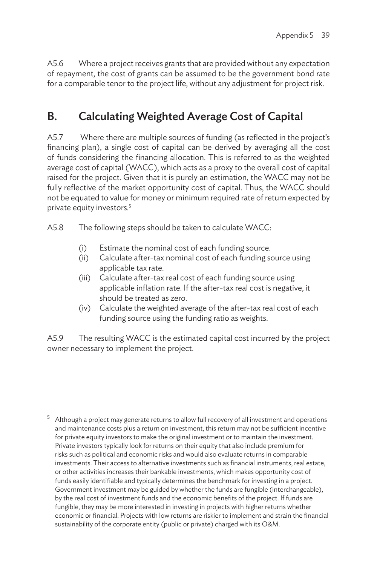A5.6 Where a project receives grants that are provided without any expectation of repayment, the cost of grants can be assumed to be the government bond rate for a comparable tenor to the project life, without any adjustment for project risk.

## B. Calculating Weighted Average Cost of Capital

A5.7 Where there are multiple sources of funding (as reflected in the project's financing plan), a single cost of capital can be derived by averaging all the cost of funds considering the financing allocation. This is referred to as the weighted average cost of capital (WACC), which acts as a proxy to the overall cost of capital raised for the project. Given that it is purely an estimation, the WACC may not be fully reflective of the market opportunity cost of capital. Thus, the WACC should not be equated to value for money or minimum required rate of return expected by private equity investors.5

A5.8 The following steps should be taken to calculate WACC:

- (i) Estimate the nominal cost of each funding source.
- (ii) Calculate after-tax nominal cost of each funding source using applicable tax rate.
- (iii) Calculate after-tax real cost of each funding source using applicable inflation rate. If the after-tax real cost is negative, it should be treated as zero.
- (iv) Calculate the weighted average of the after-tax real cost of each funding source using the funding ratio as weights.

A5.9 The resulting WACC is the estimated capital cost incurred by the project owner necessary to implement the project.

 $5$  Although a project may generate returns to allow full recovery of all investment and operations and maintenance costs plus a return on investment, this return may not be sufficient incentive for private equity investors to make the original investment or to maintain the investment. Private investors typically look for returns on their equity that also include premium for risks such as political and economic risks and would also evaluate returns in comparable investments. Their access to alternative investments such as financial instruments, real estate, or other activities increases their bankable investments, which makes opportunity cost of funds easily identifiable and typically determines the benchmark for investing in a project. Government investment may be guided by whether the funds are fungible (interchangeable), by the real cost of investment funds and the economic benefits of the project. If funds are fungible, they may be more interested in investing in projects with higher returns whether economic or financial. Projects with low returns are riskier to implement and strain the financial sustainability of the corporate entity (public or private) charged with its O&M.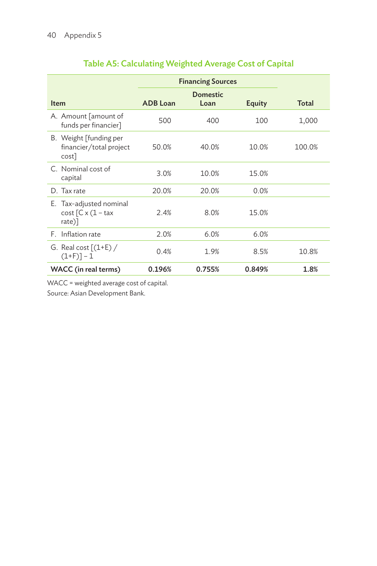|                                                               | <b>Financing Sources</b> |                  |        |              |
|---------------------------------------------------------------|--------------------------|------------------|--------|--------------|
| <b>Item</b>                                                   | <b>ADB</b> Loan          | Domestic<br>Loan | Equity | <b>Total</b> |
| A. Amount [amount of<br>funds per financier]                  | 500                      | 400              | 100    | 1,000        |
| B. Weight [funding per<br>financier/total project<br>$cost$ ] | 50.0%                    | 40.0%            | 10.0%  | 100.0%       |
| C. Nominal cost of<br>capital                                 | 3.0%                     | 10.0%            | 15.0%  |              |
| D. Tax rate                                                   | 20.0%                    | 20.0%            | 0.0%   |              |
| E. Tax-adjusted nominal<br>$cost$ $C x (1 - tax$<br>$rate)$ ] | 2.4%                     | 8.0%             | 15.0%  |              |
| F. Inflation rate                                             | 2.0%                     | 6.0%             | 6.0%   |              |
| G. Real cost $[(1+E) /$<br>$(1+F)] - 1$                       | 0.4%                     | 1.9%             | 8.5%   | 10.8%        |
| WACC (in real terms)                                          | 0.196%                   | 0.755%           | 0.849% | 1.8%         |

### Table A5: Calculating Weighted Average Cost of Capital

WACC = weighted average cost of capital.

Source: Asian Development Bank.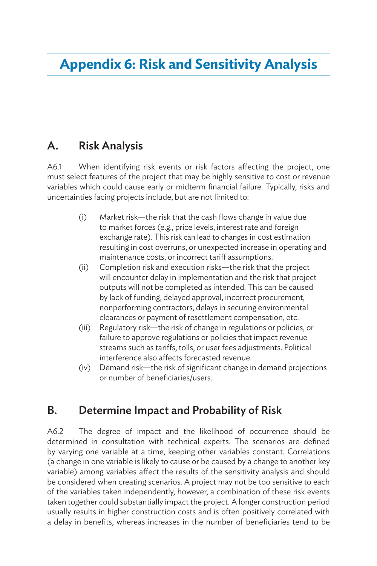## **Appendix 6: Risk and Sensitivity Analysis**

### A. Risk Analysis

A6.1 When identifying risk events or risk factors affecting the project, one must select features of the project that may be highly sensitive to cost or revenue variables which could cause early or midterm financial failure. Typically, risks and uncertainties facing projects include, but are not limited to:

- (i) Market risk—the risk that the cash flows change in value due to market forces (e.g., price levels, interest rate and foreign exchange rate). This risk can lead to changes in cost estimation resulting in cost overruns, or unexpected increase in operating and maintenance costs, or incorrect tariff assumptions.
- (ii) Completion risk and execution risks—the risk that the project will encounter delay in implementation and the risk that project outputs will not be completed as intended. This can be caused by lack of funding, delayed approval, incorrect procurement, nonperforming contractors, delays in securing environmental clearances or payment of resettlement compensation, etc.
- (iii) Regulatory risk—the risk of change in regulations or policies, or failure to approve regulations or policies that impact revenue streams such as tariffs, tolls, or user fees adjustments. Political interference also affects forecasted revenue.
- (iv) Demand risk—the risk of significant change in demand projections or number of beneficiaries/users.

### B. Determine Impact and Probability of Risk

A6.2 The degree of impact and the likelihood of occurrence should be determined in consultation with technical experts. The scenarios are defined by varying one variable at a time, keeping other variables constant. Correlations (a change in one variable is likely to cause or be caused by a change to another key variable) among variables affect the results of the sensitivity analysis and should be considered when creating scenarios. A project may not be too sensitive to each of the variables taken independently, however, a combination of these risk events taken together could substantially impact the project. A longer construction period usually results in higher construction costs and is often positively correlated with a delay in benefits, whereas increases in the number of beneficiaries tend to be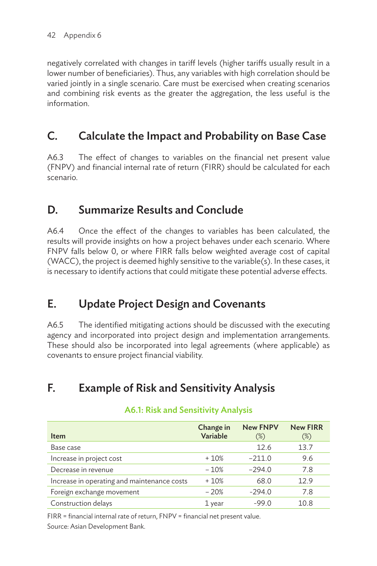negatively correlated with changes in tariff levels (higher tariffs usually result in a lower number of beneficiaries). Thus, any variables with high correlation should be varied jointly in a single scenario. Care must be exercised when creating scenarios and combining risk events as the greater the aggregation, the less useful is the information.

## C. Calculate the Impact and Probability on Base Case

A6.3 The effect of changes to variables on the financial net present value (FNPV) and financial internal rate of return (FIRR) should be calculated for each scenario.

## D. Summarize Results and Conclude

A6.4 Once the effect of the changes to variables has been calculated, the results will provide insights on how a project behaves under each scenario. Where FNPV falls below 0, or where FIRR falls below weighted average cost of capital (WACC), the project is deemed highly sensitive to the variable(s). In these cases, it is necessary to identify actions that could mitigate these potential adverse effects.

## E. Update Project Design and Covenants

A6.5 The identified mitigating actions should be discussed with the executing agency and incorporated into project design and implementation arrangements. These should also be incorporated into legal agreements (where applicable) as covenants to ensure project financial viability.

## F. Example of Risk and Sensitivity Analysis

| <b>Item</b>                                 | Change in<br>Variable | <b>New FNPV</b><br>$(\%)$ | <b>New FIRR</b><br>$(\%)$ |
|---------------------------------------------|-----------------------|---------------------------|---------------------------|
| Base case                                   |                       | 12.6                      | 13.7                      |
| Increase in project cost                    | $+10%$                | $-211.0$                  | 9.6                       |
| Decrease in revenue                         | $-10%$                | $-294.0$                  | 7.8                       |
| Increase in operating and maintenance costs | $+10%$                | 68.0                      | 12.9                      |
| Foreign exchange movement                   | $-20%$                | $-294.0$                  | 7.8                       |
| Construction delays                         | 1 year                | $-99.0$                   | 10.8                      |

### A6.1: Risk and Sensitivity Analysis

FIRR = financial internal rate of return, FNPV = financial net present value. Source: Asian Development Bank.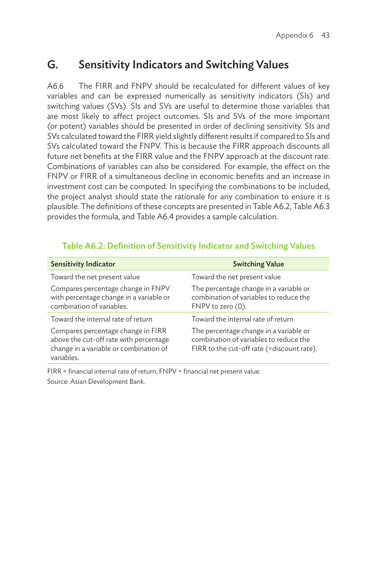### G. Sensitivity Indicators and Switching Values

A6.6 The FIRR and FNPV should be recalculated for different values of key variables and can be expressed numerically as sensitivity indicators (SIs) and switching values (SVs). SIs and SVs are useful to determine those variables that are most likely to affect project outcomes. SIs and SVs of the more important (or potent) variables should be presented in order of declining sensitivity. SIs and SVs calculated toward the FIRR yield slightly different results if compared to SIs and SVs calculated toward the FNPV. This is because the FIRR approach discounts all future net benefits at the FIRR value and the FNPV approach at the discount rate. Combinations of variables can also be considered. For example, the effect on the FNPV or FIRR of a simultaneous decline in economic benefits and an increase in investment cost can be computed. In specifying the combinations to be included, the project analyst should state the rationale for any combination to ensure it is plausible. The definitions of these concepts are presented in Table A6.2, Table A6.3 provides the formula, and Table A6.4 provides a sample calculation.

| <b>Sensitivity Indicator</b>                                                                                                         | <b>Switching Value</b>                                                                                                         |
|--------------------------------------------------------------------------------------------------------------------------------------|--------------------------------------------------------------------------------------------------------------------------------|
| Toward the net present value                                                                                                         | Toward the net present value                                                                                                   |
| Compares percentage change in FNPV<br>with percentage change in a variable or<br>combination of variables.                           | The percentage change in a variable or<br>combination of variables to reduce the<br>FNPV to zero (0).                          |
| Toward the internal rate of return                                                                                                   | Toward the internal rate of return                                                                                             |
| Compares percentage change in FIRR<br>above the cut-off rate with percentage<br>change in a variable or combination of<br>variables. | The percentage change in a variable or<br>combination of variables to reduce the<br>FIRR to the cut-off rate (=discount rate). |

#### Table A6.2: Definition of Sensitivity Indicator and Switching Values

FIRR = financial internal rate of return, FNPV = financial net present value. Source: Asian Development Bank.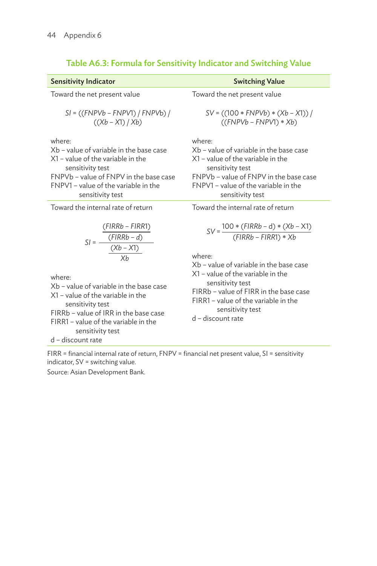| <b>Sensitivity Indicator</b>                                                                                                                                                                                                                                                                                    | <b>Switching Value</b>                                                                                                                                                                                                                                                                                                   |
|-----------------------------------------------------------------------------------------------------------------------------------------------------------------------------------------------------------------------------------------------------------------------------------------------------------------|--------------------------------------------------------------------------------------------------------------------------------------------------------------------------------------------------------------------------------------------------------------------------------------------------------------------------|
| Toward the net present value                                                                                                                                                                                                                                                                                    | Toward the net present value                                                                                                                                                                                                                                                                                             |
| $SI = ((FNPVb - FNPV1) / FNPVb) /$<br>$((Xb - X1) / Xb)$                                                                                                                                                                                                                                                        | $SV = ((100 * FNPVb) * (Xb - X1))$<br>$((FNPVb - FNPV1) * Xb)$                                                                                                                                                                                                                                                           |
| where:<br>Xb – value of variable in the base case<br>$X1$ – value of the variable in the<br>sensitivity test<br>FNPVb - value of FNPV in the base case<br>FNPV1 - value of the variable in the<br>sensitivity test                                                                                              | where:<br>Xb – value of variable in the base case<br>$X1$ – value of the variable in the<br>sensitivity test<br>FNPVb - value of FNPV in the base case<br>FNPV1 - value of the variable in the<br>sensitivity test                                                                                                       |
| Toward the internal rate of return                                                                                                                                                                                                                                                                              | Toward the internal rate of return                                                                                                                                                                                                                                                                                       |
| $(PIRRb - FIRR1)$<br>$SI = \frac{(FIRRb - d)}{(Xb - X1)}$<br>where <sup>.</sup><br>Xb - value of variable in the base case<br>$X1$ – value of the variable in the<br>sensitivity test<br>FIRRb - value of IRR in the base case<br>FIRR1 - value of the variable in the<br>sensitivity test<br>d - discount rate | $SV = \frac{100 * (FIRRb - d) * (Xb - X1)}{(FIRRb - FIRR1) * Xb}$<br>where <sup>.</sup><br>Xb – value of variable in the base case<br>$X1$ – value of the variable in the<br>sensitivity test<br>FIRRb - value of FIRR in the base case<br>FIRR1 - value of the variable in the<br>sensitivity test<br>d - discount rate |

### Table A6.3: Formula for Sensitivity Indicator and Switching Value

FIRR = financial internal rate of return, FNPV = financial net present value, SI = sensitivity indicator, SV = switching value.

Source: Asian Development Bank.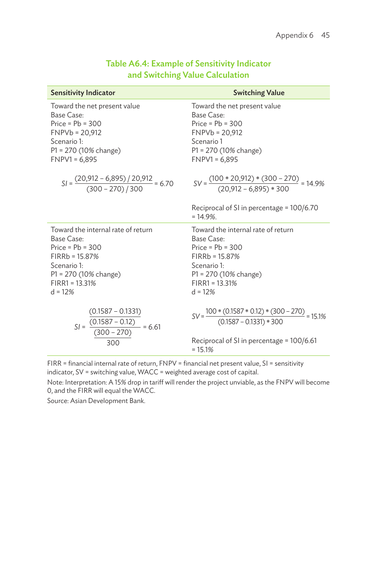| <b>Sensitivity Indicator</b>                                      | <b>Switching Value</b>                                                              |
|-------------------------------------------------------------------|-------------------------------------------------------------------------------------|
| Toward the net present value                                      | Toward the net present value                                                        |
| Base Case:                                                        | Base Case:                                                                          |
| Price = $Pb = 300$                                                | $Price = Pb = 300$                                                                  |
| $FNPVb = 20,912$                                                  | $FNPVb = 20,912$                                                                    |
| Scenario 1:                                                       | Scenario 1                                                                          |
| $P1 = 270 (10\% \text{ change})$                                  | $P1 = 270 (10\% \text{ change})$                                                    |
| $FNPV1 = 6,895$                                                   | $FNPV1 = 6,895$                                                                     |
| $SI = \frac{(20,912 - 6,895) / 20,912}{(300 - 270) / 300} = 6.70$ | $SV = \frac{(100 * 20,912) * (300 - 270)}{(20,912 - 6,895) * 300} = 14.9\%$         |
|                                                                   | Reciprocal of SI in percentage = 100/6.70<br>$= 14.9\%$ .                           |
| Toward the internal rate of return                                | Toward the internal rate of return                                                  |
| Base Case:                                                        | Base Case:                                                                          |
| $Price = Pb = 300$                                                | $Price = Pb = 300$                                                                  |
| $FIRRb = 15.87%$                                                  | $FIRRb = 15.87%$                                                                    |
| Scenario 1:                                                       | Scenario 1:                                                                         |
| P1 = 270 (10% change)                                             | P1 = 270 (10% change)                                                               |
| $FIRR1 = 13.31%$                                                  | $FIRR1 = 13.31%$                                                                    |
| $d = 12%$                                                         | $d = 12%$                                                                           |
| $\underbrace{(0.1587 - 0.1331)}$                                  | $SV = \frac{100 * (0.1587 * 0.12) * (300 - 270)}{(0.1587 - 0.1331) * 300} = 15.1\%$ |
| $SI = \frac{(0.1587 - 0.12)}{(300 - 270)} = 6.61$                 | Reciprocal of SI in percentage = 100/6.61                                           |
| 300                                                               | $= 15.1%$                                                                           |

#### Table A6.4: Example of Sensitivity Indicator and Switching Value Calculation

FIRR = financial internal rate of return, FNPV = financial net present value, SI = sensitivity indicator, SV = switching value, WACC = weighted average cost of capital.

Note: Interpretation: A 15% drop in tariff will render the project unviable, as the FNPV will become 0, and the FIRR will equal the WACC.

Source: Asian Development Bank.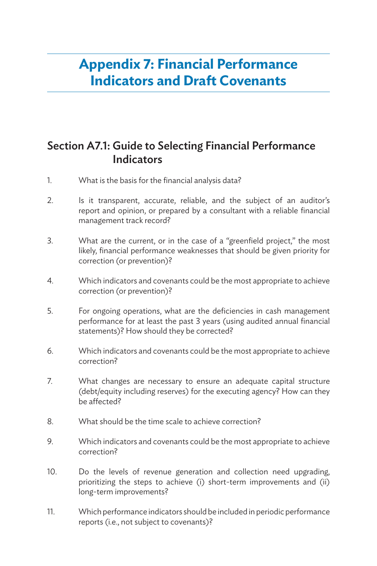## **Appendix 7: Financial Performance Indicators and Draft Covenants**

### Section A7.1: Guide to Selecting Financial Performance **Indicators**

- 1. What is the basis for the financial analysis data?
- 2. Is it transparent, accurate, reliable, and the subject of an auditor's report and opinion, or prepared by a consultant with a reliable financial management track record?
- 3. What are the current, or in the case of a "greenfield project," the most likely, financial performance weaknesses that should be given priority for correction (or prevention)?
- 4. Which indicators and covenants could be the most appropriate to achieve correction (or prevention)?
- 5. For ongoing operations, what are the deficiencies in cash management performance for at least the past 3 years (using audited annual financial statements)? How should they be corrected?
- 6. Which indicators and covenants could be the most appropriate to achieve correction?
- 7. What changes are necessary to ensure an adequate capital structure (debt/equity including reserves) for the executing agency? How can they be affected?
- 8. What should be the time scale to achieve correction?
- 9. Which indicators and covenants could be the most appropriate to achieve correction?
- 10. Do the levels of revenue generation and collection need upgrading, prioritizing the steps to achieve (i) short-term improvements and (ii) long-term improvements?
- 11. Which performance indicators should be included in periodic performance reports (i.e., not subject to covenants)?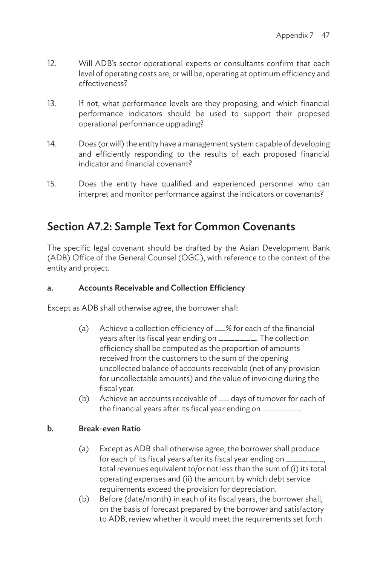- 12. Will ADB's sector operational experts or consultants confirm that each level of operating costs are, or will be, operating at optimum efficiency and effectiveness?
- 13. If not, what performance levels are they proposing, and which financial performance indicators should be used to support their proposed operational performance upgrading?
- 14. Does (or will) the entity have a management system capable of developing and efficiently responding to the results of each proposed financial indicator and financial covenant?
- 15. Does the entity have qualified and experienced personnel who can interpret and monitor performance against the indicators or covenants?

### Section A7.2: Sample Text for Common Covenants

The specific legal covenant should be drafted by the Asian Development Bank (ADB) Office of the General Counsel (OGC), with reference to the context of the entity and project.

#### a. Accounts Receivable and Collection Efficiency

Except as ADB shall otherwise agree, the borrower shall:

- (a) Achieve a collection efficiency of \_\_% for each of the financial years after its fiscal year ending on \_\_\_\_\_\_\_. The collection efficiency shall be computed as the proportion of amounts received from the customers to the sum of the opening uncollected balance of accounts receivable (net of any provision for uncollectable amounts) and the value of invoicing during the fiscal year.
- (b) Achieve an accounts receivable of \_\_ days of turnover for each of the financial years after its fiscal year ending on \_\_\_\_\_\_\_\_.

#### b. Break-even Ratio

- (a) Except as ADB shall otherwise agree, the borrower shall produce for each of its fiscal years after its fiscal year ending on  $\equiv$ total revenues equivalent to/or not less than the sum of (i) its total operating expenses and (ii) the amount by which debt service requirements exceed the provision for depreciation.
- (b) Before (date/month) in each of its fiscal years, the borrower shall, on the basis of forecast prepared by the borrower and satisfactory to ADB, review whether it would meet the requirements set forth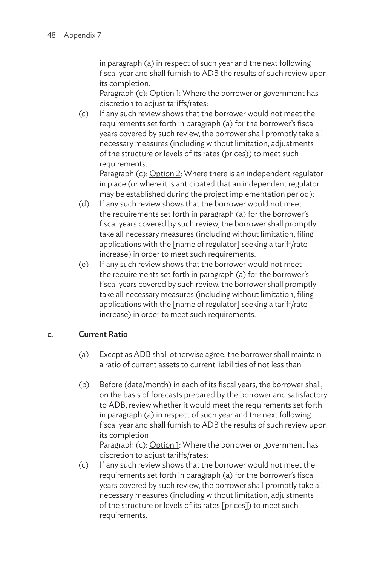in paragraph (a) in respect of such year and the next following fiscal year and shall furnish to ADB the results of such review upon its completion.

Paragraph (c): Option 1: Where the borrower or government has discretion to adjust tariffs/rates:

(c) If any such review shows that the borrower would not meet the requirements set forth in paragraph (a) for the borrower's fiscal years covered by such review, the borrower shall promptly take all necessary measures (including without limitation, adjustments of the structure or levels of its rates (prices)) to meet such requirements.

Paragraph (c): Option 2: Where there is an independent regulator in place (or where it is anticipated that an independent regulator may be established during the project implementation period):

- (d) If any such review shows that the borrower would not meet the requirements set forth in paragraph (a) for the borrower's fiscal years covered by such review, the borrower shall promptly take all necessary measures (including without limitation, filing applications with the [name of regulator] seeking a tariff/rate increase) in order to meet such requirements.
- (e) If any such review shows that the borrower would not meet the requirements set forth in paragraph (a) for the borrower's fiscal years covered by such review, the borrower shall promptly take all necessary measures (including without limitation, filing applications with the [name of regulator] seeking a tariff/rate increase) in order to meet such requirements.

#### c. Current Ratio

- (a) Except as ADB shall otherwise agree, the borrower shall maintain a ratio of current assets to current liabilities of not less than
- \_\_\_\_\_\_\_. (b) Before (date/month) in each of its fiscal years, the borrower shall, on the basis of forecasts prepared by the borrower and satisfactory to ADB, review whether it would meet the requirements set forth in paragraph (a) in respect of such year and the next following fiscal year and shall furnish to ADB the results of such review upon its completion

Paragraph (c): Option 1: Where the borrower or government has discretion to adjust tariffs/rates:

(c) If any such review shows that the borrower would not meet the requirements set forth in paragraph (a) for the borrower's fiscal years covered by such review, the borrower shall promptly take all necessary measures (including without limitation, adjustments of the structure or levels of its rates [prices]) to meet such requirements.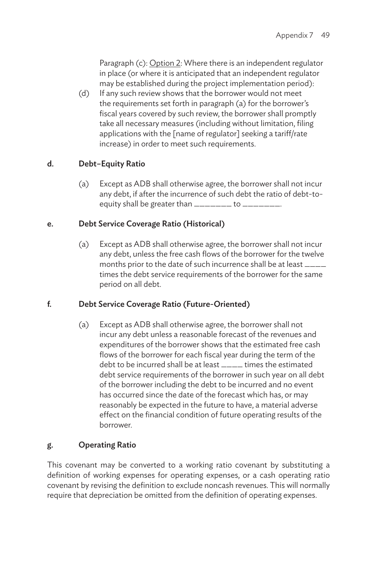Paragraph (c): Option 2: Where there is an independent regulator in place (or where it is anticipated that an independent regulator may be established during the project implementation period):

(d) If any such review shows that the borrower would not meet the requirements set forth in paragraph (a) for the borrower's fiscal years covered by such review, the borrower shall promptly take all necessary measures (including without limitation, filing applications with the [name of regulator] seeking a tariff/rate increase) in order to meet such requirements.

#### d. Debt–Equity Ratio

(a) Except as ADB shall otherwise agree, the borrower shall not incur any debt, if after the incurrence of such debt the ratio of debt-toequity shall be greater than  $\frac{1}{1}$  =  $\frac{1}{1}$  to  $\frac{1}{1}$  =  $\frac{1}{1}$ .

#### e. Debt Service Coverage Ratio (Historical)

(a) Except as ADB shall otherwise agree, the borrower shall not incur any debt, unless the free cash flows of the borrower for the twelve months prior to the date of such incurrence shall be at least \_\_\_\_ times the debt service requirements of the borrower for the same period on all debt.

#### f. Debt Service Coverage Ratio (Future-Oriented)

(a) Except as ADB shall otherwise agree, the borrower shall not incur any debt unless a reasonable forecast of the revenues and expenditures of the borrower shows that the estimated free cash flows of the borrower for each fiscal year during the term of the debt to be incurred shall be at least  $\frac{1}{1}$  times the estimated debt service requirements of the borrower in such year on all debt of the borrower including the debt to be incurred and no event has occurred since the date of the forecast which has, or may reasonably be expected in the future to have, a material adverse effect on the financial condition of future operating results of the borrower.

#### g. Operating Ratio

This covenant may be converted to a working ratio covenant by substituting a definition of working expenses for operating expenses, or a cash operating ratio covenant by revising the definition to exclude noncash revenues. This will normally require that depreciation be omitted from the definition of operating expenses.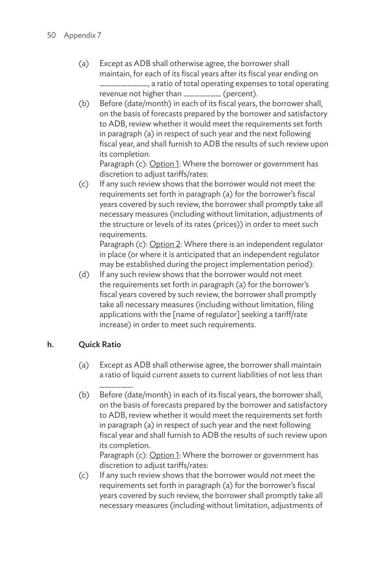- (a) Except as ADB shall otherwise agree, the borrower shall maintain, for each of its fiscal years after its fiscal year ending on \_\_\_\_\_\_\_\_\_, a ratio of total operating expenses to total operating revenue not higher than \_\_\_\_\_\_\_\_ (percent).
- (b) Before (date/month) in each of its fiscal years, the borrower shall, on the basis of forecasts prepared by the borrower and satisfactory to ADB, review whether it would meet the requirements set forth in paragraph (a) in respect of such year and the next following fiscal year, and shall furnish to ADB the results of such review upon its completion.

Paragraph (c): Option 1: Where the borrower or government has discretion to adjust tariffs/rates:

(c) If any such review shows that the borrower would not meet the requirements set forth in paragraph (a) for the borrower's fiscal years covered by such review, the borrower shall promptly take all necessary measures (including without limitation, adjustments of the structure or levels of its rates (prices)) in order to meet such requirements.

Paragraph (c): Option 2: Where there is an independent regulator in place (or where it is anticipated that an independent regulator may be established during the project implementation period):

(d) If any such review shows that the borrower would not meet the requirements set forth in paragraph (a) for the borrower's fiscal years covered by such review, the borrower shall promptly take all necessary measures (including without limitation, filing applications with the [name of regulator] seeking a tariff/rate increase) in order to meet such requirements.

#### h. Quick Ratio

- (a) Except as ADB shall otherwise agree, the borrower shall maintain a ratio of liquid current assets to current liabilities of not less than
- \_\_\_\_\_\_. (b) Before (date/month) in each of its fiscal years, the borrower shall, on the basis of forecasts prepared by the borrower and satisfactory to ADB, review whether it would meet the requirements set forth in paragraph (a) in respect of such year and the next following fiscal year and shall furnish to ADB the results of such review upon its completion.

Paragraph (c): Option 1: Where the borrower or government has discretion to adjust tariffs/rates:

(c) If any such review shows that the borrower would not meet the requirements set forth in paragraph (a) for the borrower's fiscal years covered by such review, the borrower shall promptly take all necessary measures (including without limitation, adjustments of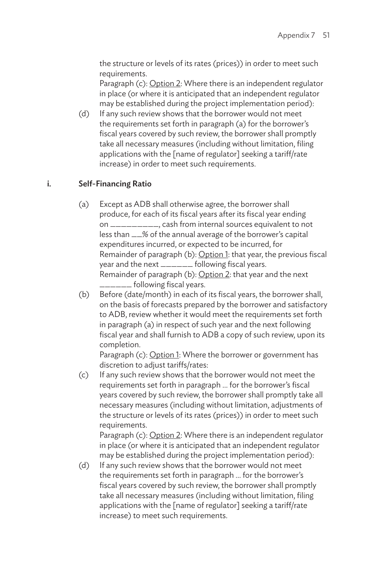the structure or levels of its rates (prices)) in order to meet such requirements.

Paragraph (c): Option 2: Where there is an independent regulator in place (or where it is anticipated that an independent regulator may be established during the project implementation period):

(d) If any such review shows that the borrower would not meet the requirements set forth in paragraph (a) for the borrower's fiscal years covered by such review, the borrower shall promptly take all necessary measures (including without limitation, filing applications with the [name of regulator] seeking a tariff/rate increase) in order to meet such requirements.

#### i. Self-Financing Ratio

- (a) Except as ADB shall otherwise agree, the borrower shall produce, for each of its fiscal years after its fiscal year ending on \_\_\_\_\_\_\_\_\_, cash from internal sources equivalent to not less than \_\_% of the annual average of the borrower's capital expenditures incurred, or expected to be incurred, for Remainder of paragraph (b): Option 1: that year, the previous fiscal year and the next \_\_\_\_\_\_\_ following fiscal years. Remainder of paragraph (b): Option 2: that year and the next \_\_\_\_\_\_ following fiscal years.
- (b) Before (date/month) in each of its fiscal years, the borrower shall, on the basis of forecasts prepared by the borrower and satisfactory to ADB, review whether it would meet the requirements set forth in paragraph (a) in respect of such year and the next following fiscal year and shall furnish to ADB a copy of such review, upon its completion.

Paragraph (c): Option 1: Where the borrower or government has discretion to adjust tariffs/rates:

(c) If any such review shows that the borrower would not meet the requirements set forth in paragraph … for the borrower's fiscal years covered by such review, the borrower shall promptly take all necessary measures (including without limitation, adjustments of the structure or levels of its rates (prices)) in order to meet such requirements.

Paragraph (c): Option 2: Where there is an independent regulator in place (or where it is anticipated that an independent regulator may be established during the project implementation period):

(d) If any such review shows that the borrower would not meet the requirements set forth in paragraph … for the borrower's fiscal years covered by such review, the borrower shall promptly take all necessary measures (including without limitation, filing applications with the [name of regulator] seeking a tariff/rate increase) to meet such requirements.